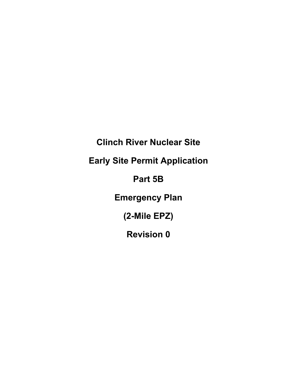**Clinch River Nuclear Site Early Site Permit Application Part 5B Emergency Plan (2-Mile EPZ) Revision 0**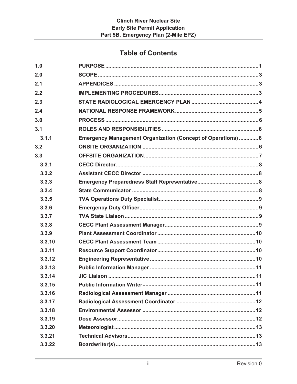# **Table of Contents**

| 1.0    |                                                              |
|--------|--------------------------------------------------------------|
| 2.0    |                                                              |
| 2.1    |                                                              |
| 2.2    |                                                              |
| 2.3    |                                                              |
| 2.4    |                                                              |
| 3.0    |                                                              |
| 3.1    |                                                              |
| 3.1.1  | Emergency Management Organization (Concept of Operations)  6 |
| 3.2    |                                                              |
| 3.3    |                                                              |
| 3.3.1  |                                                              |
| 3.3.2  |                                                              |
| 3.3.3  |                                                              |
| 3.3.4  |                                                              |
| 3.3.5  |                                                              |
| 3.3.6  |                                                              |
| 3.3.7  |                                                              |
| 3.3.8  |                                                              |
| 3.3.9  |                                                              |
| 3.3.10 |                                                              |
| 3.3.11 |                                                              |
| 3.3.12 |                                                              |
| 3.3.13 |                                                              |
| 3.3.14 |                                                              |
| 3.3.15 |                                                              |
| 3.3.16 |                                                              |
| 3.3.17 |                                                              |
| 3.3.18 |                                                              |
| 3.3.19 |                                                              |
| 3.3.20 |                                                              |
| 3.3.21 |                                                              |
| 3.3.22 |                                                              |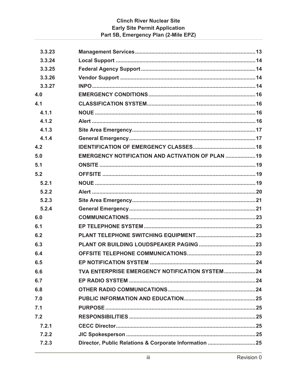# **Clinch River Nuclear Site Early Site Permit Application** Part 5B, Emergency Plan (2-Mile EPZ)

|     | 3.3.23 |                                                   |  |
|-----|--------|---------------------------------------------------|--|
|     | 3.3.24 |                                                   |  |
|     | 3.3.25 |                                                   |  |
|     | 3.3.26 |                                                   |  |
|     | 3.3.27 |                                                   |  |
| 4.0 |        |                                                   |  |
| 4.1 |        |                                                   |  |
|     | 4.1.1  |                                                   |  |
|     | 4.1.2  |                                                   |  |
|     | 4.1.3  |                                                   |  |
|     | 4.1.4  |                                                   |  |
| 4.2 |        |                                                   |  |
| 5.0 |        | EMERGENCY NOTIFICATION AND ACTIVATION OF PLAN  19 |  |
| 5.1 |        |                                                   |  |
| 5.2 |        |                                                   |  |
|     | 5.2.1  |                                                   |  |
|     | 5.2.2  |                                                   |  |
|     | 5.2.3  |                                                   |  |
|     | 5.2.4  |                                                   |  |
| 6.0 |        |                                                   |  |
| 6.1 |        |                                                   |  |
| 6.2 |        |                                                   |  |
| 6.3 |        |                                                   |  |
| 6.4 |        |                                                   |  |
| 6.5 |        |                                                   |  |
| 6.6 |        | TVA ENTERPRISE EMERGENCY NOTIFICATION SYSTEM 24   |  |
| 6.7 |        |                                                   |  |
| 6.8 |        |                                                   |  |
| 7.0 |        |                                                   |  |
| 7.1 |        |                                                   |  |
| 7.2 |        |                                                   |  |
|     | 7.2.1  |                                                   |  |
|     | 7.2.2  |                                                   |  |
|     | 7.2.3  |                                                   |  |
|     |        |                                                   |  |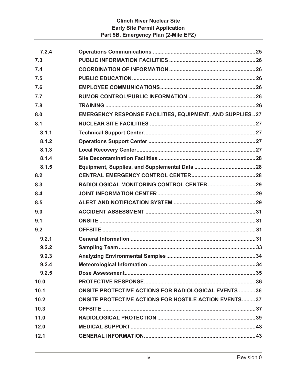# **Clinch River Nuclear Site Early Site Permit Application Part 5B, Emergency Plan (2-Mile EPZ)**

| 7.2.4 |                                                                 |
|-------|-----------------------------------------------------------------|
| 7.3   |                                                                 |
| 7.4   |                                                                 |
| 7.5   |                                                                 |
| 7.6   |                                                                 |
| 7.7   |                                                                 |
| 7.8   |                                                                 |
| 8.0   | <b>EMERGENCY RESPONSE FACILITIES, EQUIPMENT, AND SUPPLIES27</b> |
| 8.1   |                                                                 |
| 8.1.1 |                                                                 |
| 8.1.2 |                                                                 |
| 8.1.3 |                                                                 |
| 8.1.4 |                                                                 |
| 8.1.5 |                                                                 |
| 8.2   |                                                                 |
| 8.3   |                                                                 |
| 8.4   |                                                                 |
| 8.5   |                                                                 |
| 9.0   |                                                                 |
| 9.1   |                                                                 |
| 9.2   |                                                                 |
| 9.2.1 |                                                                 |
| 9.2.2 |                                                                 |
| 9.2.3 |                                                                 |
| 9.2.4 |                                                                 |
| 9.2.5 |                                                                 |
| 10.0  |                                                                 |
| 10.1  | <b>ONSITE PROTECTIVE ACTIONS FOR RADIOLOGICAL EVENTS 36</b>     |
| 10.2  | <b>ONSITE PROTECTIVE ACTIONS FOR HOSTILE ACTION EVENTS37</b>    |
| 10.3  |                                                                 |
| 11.0  |                                                                 |
| 12.0  |                                                                 |
| 12.1  |                                                                 |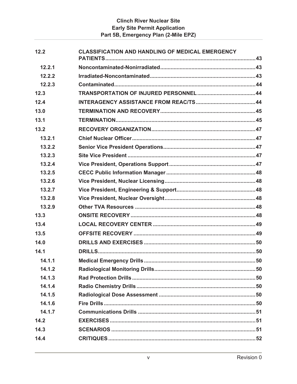| 12.2   | <b>CLASSIFICATION AND HANDLING OF MEDICAL EMERGENCY</b> |  |
|--------|---------------------------------------------------------|--|
| 12.2.1 |                                                         |  |
| 12.2.2 |                                                         |  |
| 12.2.3 |                                                         |  |
| 12.3   |                                                         |  |
| 12.4   |                                                         |  |
| 13.0   |                                                         |  |
| 13.1   |                                                         |  |
| 13.2   |                                                         |  |
| 13.2.1 |                                                         |  |
| 13.2.2 |                                                         |  |
| 13.2.3 |                                                         |  |
| 13.2.4 |                                                         |  |
| 13.2.5 |                                                         |  |
| 13.2.6 |                                                         |  |
| 13.2.7 |                                                         |  |
| 13.2.8 |                                                         |  |
| 13.2.9 |                                                         |  |
| 13.3   |                                                         |  |
| 13.4   |                                                         |  |
| 13.5   |                                                         |  |
| 14.0   |                                                         |  |
| 14.1   |                                                         |  |
| 14.1.1 |                                                         |  |
| 14.1.2 |                                                         |  |
| 14.1.3 |                                                         |  |
| 14.1.4 |                                                         |  |
| 14.1.5 |                                                         |  |
| 14.1.6 |                                                         |  |
| 14.1.7 |                                                         |  |
| 14.2   |                                                         |  |
| 14.3   |                                                         |  |
| 14.4   |                                                         |  |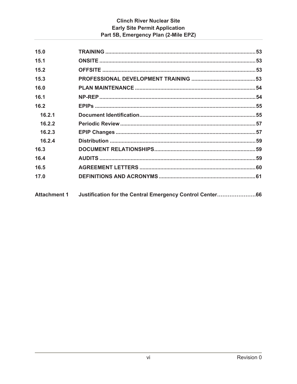# **Clinch River Nuclear Site Early Site Permit Application** Part 5B, Emergency Plan (2-Mile EPZ)

| 15.0   |                                                                       |  |
|--------|-----------------------------------------------------------------------|--|
| 15.1   |                                                                       |  |
| 15.2   |                                                                       |  |
| 15.3   |                                                                       |  |
| 16.0   |                                                                       |  |
| 16.1   |                                                                       |  |
| 16.2   |                                                                       |  |
| 16.2.1 |                                                                       |  |
| 16.2.2 |                                                                       |  |
| 16.2.3 |                                                                       |  |
| 16.2.4 |                                                                       |  |
| 16.3   |                                                                       |  |
| 16.4   |                                                                       |  |
| 16.5   |                                                                       |  |
| 17.0   |                                                                       |  |
|        | Attachment 1 Justification for the Central Emergency Control Center66 |  |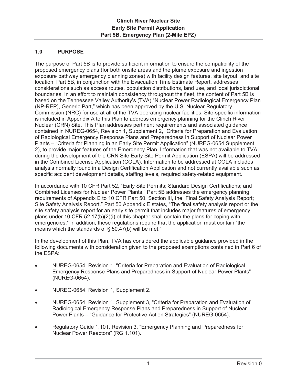# **1.0 PURPOSE**

The purpose of Part 5B is to provide sufficient information to ensure the compatibility of the proposed emergency plans (for both onsite areas and the plume exposure and ingestion exposure pathway emergency planning zones) with facility design features, site layout, and site location. Part 5B, in conjunction with the Evacuation Time Estimate Report, addresses considerations such as access routes, population distributions, land use, and local jurisdictional boundaries. In an effort to maintain consistency throughout the fleet, the content of Part 5B is based on the Tennessee Valley Authority's (TVA) "Nuclear Power Radiological Emergency Plan (NP-REP), Generic Part," which has been approved by the U.S. Nuclear Regulatory Commission (NRC) for use at all of the TVA operating nuclear facilities. Site-specific information is included in Appendix A to this Plan to address emergency planning for the Clinch River Nuclear (CRN) Site. This Plan addresses pertinent requirements and associated guidance contained in NUREG-0654, Revision 1, Supplement 2, "Criteria for Preparation and Evaluation of Radiological Emergency Response Plans and Preparedness in Support of Nuclear Power Plants – "Criteria for Planning in an Early Site Permit Application" (NUREG-0654 Supplement 2), to provide major features of the Emergency Plan. Information that was not available to TVA during the development of the CRN Site Early Site Permit Application (ESPA) will be addressed in the Combined License Application (COLA). Information to be addressed at COLA includes analysis normally found in a Design Certification Application and not currently available such as specific accident development details, staffing levels, required safety-related equipment.

In accordance with 10 CFR Part 52, "Early Site Permits; Standard Design Certifications; and Combined Licenses for Nuclear Power Plants," Part 5B addresses the emergency planning requirements of Appendix E to 10 CFR Part 50, Section III, the "Final Safety Analysis Report; Site Safety Analysis Report." Part 50 Appendix E states, "The final safety analysis report or the site safety analysis report for an early site permit that includes major features of emergency plans under 10 CFR 52.17(b)(2)(i) of this chapter shall contain the plans for coping with emergencies." In addition, these regulations require that the application must contain "the means which the standards of § 50.47(b) will be met."

In the development of this Plan, TVA has considered the applicable guidance provided in the following documents with consideration given to the proposed exemptions contained in Part 6 of the ESPA:

- x NUREG-0654, Revision 1, "Criteria for Preparation and Evaluation of Radiological Emergency Response Plans and Preparedness in Support of Nuclear Power Plants" (NUREG-0654).
- x NUREG-0654, Revision 1, Supplement 2.
- NUREG-0654, Revision 1, Supplement 3, "Criteria for Preparation and Evaluation of Radiological Emergency Response Plans and Preparedness in Support of Nuclear Power Plants – "Guidance for Protective Action Strategies" (NUREG-0654).
- Regulatory Guide 1.101, Revision 3, "Emergency Planning and Preparedness for Nuclear Power Reactors" (RG 1.101).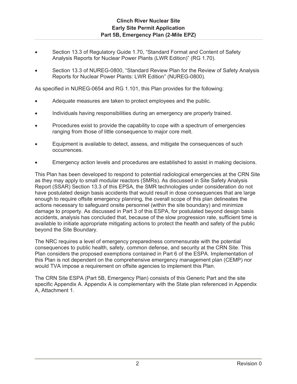- Section 13.3 of Regulatory Guide 1.70, "Standard Format and Content of Safety Analysis Reports for Nuclear Power Plants (LWR Edition)" (RG 1.70).
- Section 13.3 of NUREG-0800, "Standard Review Plan for the Review of Safety Analysis Reports for Nuclear Power Plants: LWR Edition" (NUREG-0800).

As specified in NUREG-0654 and RG 1.101, this Plan provides for the following:

- Adequate measures are taken to protect employees and the public.
- Individuals having responsibilities during an emergency are properly trained.
- Procedures exist to provide the capability to cope with a spectrum of emergencies ranging from those of little consequence to major core melt.
- Equipment is available to detect, assess, and mitigate the consequences of such occurrences.
- Emergency action levels and procedures are established to assist in making decisions.

This Plan has been developed to respond to potential radiological emergencies at the CRN Site as they may apply to small modular reactors (SMRs). As discussed in Site Safety Analysis Report (SSAR) Section 13.3 of this EPSA, the SMR technologies under consideration do not have postulated design basis accidents that would result in dose consequences that are large enough to require offsite emergency planning, the overall scope of this plan delineates the actions necessary to safeguard onsite personnel (within the site boundary) and minimize damage to property. As discussed in Part 3 of this ESPA, for postulated beyond design basis accidents, analysis has concluded that, because of the slow progression rate, sufficient time is available to initiate appropriate mitigating actions to protect the health and safety of the public beyond the Site Boundary.

The NRC requires a level of emergency preparedness commensurate with the potential consequences to public health, safety, common defense, and security at the CRN Site. This Plan considers the proposed exemptions contained in Part 6 of the ESPA. Implementation of this Plan is not dependent on the comprehensive emergency management plan (CEMP) nor would TVA impose a requirement on offsite agencies to implement this Plan.

The CRN Site ESPA (Part 5B, Emergency Plan) consists of this Generic Part and the site specific Appendix A. Appendix A is complementary with the State plan referenced in Appendix A, Attachment 1.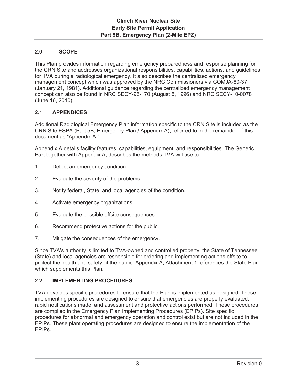### **2.0 SCOPE**

This Plan provides information regarding emergency preparedness and response planning for the CRN Site and addresses organizational responsibilities, capabilities, actions, and guidelines for TVA during a radiological emergency. It also describes the centralized emergency management concept which was approved by the NRC Commissioners via COMJA-80-37 (January 21, 1981). Additional guidance regarding the centralized emergency management concept can also be found in NRC SECY-96-170 (August 5, 1996) and NRC SECY-10-0078 (June 16, 2010).

# **2.1 APPENDICES**

Additional Radiological Emergency Plan information specific to the CRN Site is included as the CRN Site ESPA (Part 5B, Emergency Plan / Appendix A); referred to in the remainder of this document as "Appendix A."

Appendix A details facility features, capabilities, equipment, and responsibilities. The Generic Part together with Appendix A, describes the methods TVA will use to:

- 1. Detect an emergency condition.
- 2. Evaluate the severity of the problems.
- 3. Notify federal, State, and local agencies of the condition.
- 4. Activate emergency organizations.
- 5. Evaluate the possible offsite consequences.
- 6. Recommend protective actions for the public.
- 7. Mitigate the consequences of the emergency.

Since TVA's authority is limited to TVA-owned and controlled property, the State of Tennessee (State) and local agencies are responsible for ordering and implementing actions offsite to protect the health and safety of the public. Appendix A, Attachment 1 references the State Plan which supplements this Plan.

### **2.2 IMPLEMENTING PROCEDURES**

TVA develops specific procedures to ensure that the Plan is implemented as designed. These implementing procedures are designed to ensure that emergencies are properly evaluated, rapid notifications made, and assessment and protective actions performed. These procedures are compiled in the Emergency Plan Implementing Procedures (EPIPs). Site specific procedures for abnormal and emergency operation and control exist but are not included in the EPIPs. These plant operating procedures are designed to ensure the implementation of the EPIPs.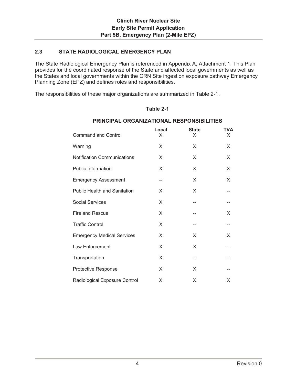### **2.3 STATE RADIOLOGICAL EMERGENCY PLAN**

The State Radiological Emergency Plan is referenced in Appendix A, Attachment 1. This Plan provides for the coordinated response of the State and affected local governments as well as the States and local governments within the CRN Site ingestion exposure pathway Emergency Planning Zone (EPZ) and defines roles and responsibilities.

The responsibilities of these major organizations are summarized in Table 2-1.

#### **Table 2-1**

| <b>Command and Control</b>          | Local<br>X | <b>State</b><br>X | TVA<br>X. |
|-------------------------------------|------------|-------------------|-----------|
| Warning                             | X          | X                 | X         |
| <b>Notification Communications</b>  | X          | X                 | X         |
| Public Information                  | X          | X                 | X         |
| <b>Emergency Assessment</b>         |            | X                 | X         |
| <b>Public Health and Sanitation</b> | X          | X                 |           |
| <b>Social Services</b>              | X          |                   |           |
| Fire and Rescue                     | X          |                   | X         |
| <b>Traffic Control</b>              | X          |                   |           |
| <b>Emergency Medical Services</b>   | X          | X                 | X         |
| Law Enforcement                     | X          | X                 |           |
| Transportation                      | X          |                   |           |
| <b>Protective Response</b>          | X          | X                 |           |
| Radiological Exposure Control       | X          | X                 | X         |

#### **PRINCIPAL ORGANIZATIONAL RESPONSIBILITIES**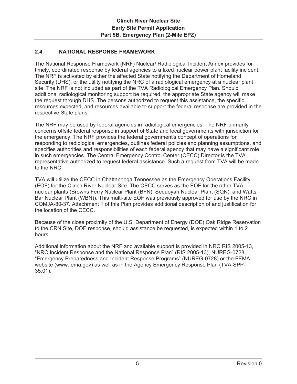### **2.4 NATIONAL RESPONSE FRAMEWORK**

The National Response Framework (NRF) Nuclear/ Radiological Incident Annex provides for timely, coordinated response by federal agencies to a fixed nuclear power plant facility incident. The NRF is activated by either the affected State notifying the Department of Homeland Security (DHS), or the utility notifying the NRC of a radiological emergency at a nuclear plant site. The NRF is not included as part of the TVA Radiological Emergency Plan. Should additional radiological monitoring support be required, the appropriate State agency will make the request through DHS. The persons authorized to request this assistance, the specific resources expected, and resources available to support the federal response are provided in the respective State plans.

The NRF may be used by federal agencies in radiological emergencies. The NRF primarily concerns offsite federal response in support of State and local governments with jurisdiction for the emergency. The NRF provides the federal government's concept of operations for responding to radiological emergencies, outlines federal policies and planning assumptions, and specifies authorities and responsibilities of each federal agency that may have a significant role in such emergencies. The Central Emergency Control Center (CECC) Director is the TVA representative authorized to request federal assistance. Such a request from TVA will be made to the NRC.

TVA will utilize the CECC in Chattanooga Tennessee as the Emergency Operations Facility (EOF) for the Clinch River Nuclear Site. The CECC serves as the EOF for the other TVA nuclear plants (Browns Ferry Nuclear Plant (BFN), Sequoyah Nuclear Plant (SQN), and Watts Bar Nuclear Plant (WBN)). This multi-site EOF was previously approved for use by the NRC in COMJA-80-37. Attachment 1 of this Plan provides additional description of and justification for the location of the CECC.

Because of the close proximity of the U.S. Department of Energy (DOE) Oak Ridge Reservation to the CRN Site, DOE response, should assistance be requested, is expected within 1 to 2 hours.

Additional information about the NRF and available support is provided in NRC RIS 2005-13, "NRC Incident Response and the National Response Plan" (RIS 2005-13), NUREG-0728, "Emergency Preparedness and Incident Response Programs" (NUREG-0728) or the FEMA website (www.fema.gov) as well as in the Agency Emergency Response Plan (TVA-SPP-35.01).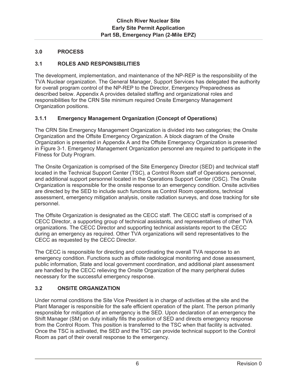# **3.0 PROCESS**

# **3.1 ROLES AND RESPONSIBILITIES**

The development, implementation, and maintenance of the NP-REP is the responsibility of the TVA Nuclear organization. The General Manager, Support Services has delegated the authority for overall program control of the NP-REP to the Director, Emergency Preparedness as described below. Appendix A provides detailed staffing and organizational roles and responsibilities for the CRN Site minimum required Onsite Emergency Management Organization positions.

# **3.1.1 Emergency Management Organization (Concept of Operations)**

The CRN Site Emergency Management Organization is divided into two categories; the Onsite Organization and the Offsite Emergency Organization. A block diagram of the Onsite Organization is presented in Appendix A and the Offsite Emergency Organization is presented in Figure 3-1. Emergency Management Organization personnel are required to participate in the Fitness for Duty Program.

The Onsite Organization is comprised of the Site Emergency Director (SED) and technical staff located in the Technical Support Center (TSC), a Control Room staff of Operations personnel, and additional support personnel located in the Operations Support Center (OSC). The Onsite Organization is responsible for the onsite response to an emergency condition. Onsite activities are directed by the SED to include such functions as Control Room operations, technical assessment, emergency mitigation analysis, onsite radiation surveys, and dose tracking for site personnel.

The Offsite Organization is designated as the CECC staff. The CECC staff is comprised of a CECC Director, a supporting group of technical assistants, and representatives of other TVA organizations. The CECC Director and supporting technical assistants report to the CECC during an emergency as required. Other TVA organizations will send representatives to the CECC as requested by the CECC Director.

The CECC is responsible for directing and coordinating the overall TVA response to an emergency condition. Functions such as offsite radiological monitoring and dose assessment, public information, State and local government coordination, and additional plant assessment are handled by the CECC relieving the Onsite Organization of the many peripheral duties necessary for the successful emergency response.

# **3.2 ONSITE ORGANIZATION**

Under normal conditions the Site Vice President is in charge of activities at the site and the Plant Manager is responsible for the safe efficient operation of the plant. The person primarily responsible for mitigation of an emergency is the SED. Upon declaration of an emergency the Shift Manager (SM) on duty initially fills the position of SED and directs emergency response from the Control Room. This position is transferred to the TSC when that facility is activated. Once the TSC is activated, the SED and the TSC can provide technical support to the Control Room as part of their overall response to the emergency.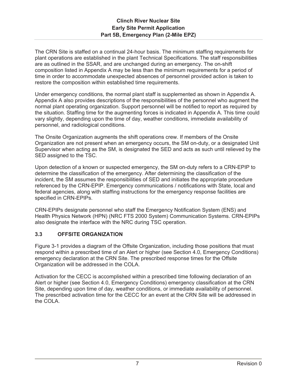The CRN Site is staffed on a continual 24-hour basis. The minimum staffing requirements for plant operations are established in the plant Technical Specifications. The staff responsibilities are as outlined in the SSAR, and are unchanged during an emergency. The on-shift composition listed in Appendix A may be less than the minimum requirements for a period of time in order to accommodate unexpected absences of personnel provided action is taken to restore the composition within established time requirements.

Under emergency conditions, the normal plant staff is supplemented as shown in Appendix A. Appendix A also provides descriptions of the responsibilities of the personnel who augment the normal plant operating organization. Support personnel will be notified to report as required by the situation. Staffing time for the augmenting forces is indicated in Appendix A. This time could vary slightly, depending upon the time of day, weather conditions, immediate availability of personnel, and radiological conditions.

The Onsite Organization augments the shift operations crew. If members of the Onsite Organization are not present when an emergency occurs, the SM on-duty, or a designated Unit Supervisor when acting as the SM, is designated the SED and acts as such until relieved by the SED assigned to the TSC.

Upon detection of a known or suspected emergency, the SM on-duty refers to a CRN-EPIP to determine the classification of the emergency. After determining the classification of the incident, the SM assumes the responsibilities of SED and initiates the appropriate procedure referenced by the CRN-EPIP. Emergency communications / notifications with State, local and federal agencies, along with staffing instructions for the emergency response facilities are specified in CRN-EPIPs.

CRN-EPIPs designate personnel who staff the Emergency Notification System (ENS) and Health Physics Network (HPN) (NRC FTS 2000 System) Communication Systems. CRN-EPIPs also designate the interface with the NRC during TSC operation.

# **3.3 OFFSITE ORGANIZATION**

Figure 3-1 provides a diagram of the Offsite Organization, including those positions that must respond within a prescribed time of an Alert or higher (see Section 4.0, Emergency Conditions) emergency declaration at the CRN Site. The prescribed response times for the Offsite Organization will be addressed in the COLA.

Activation for the CECC is accomplished within a prescribed time following declaration of an Alert or higher (see Section 4.0, Emergency Conditions) emergency classification at the CRN Site, depending upon time of day, weather conditions, or immediate availability of personnel. The prescribed activation time for the CECC for an event at the CRN Site will be addressed in the COLA.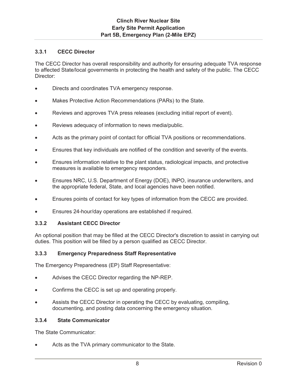### **3.3.1 CECC Director**

The CECC Director has overall responsibility and authority for ensuring adequate TVA response to affected State/local governments in protecting the health and safety of the public. The CECC Director:

- Directs and coordinates TVA emergency response.
- Makes Protective Action Recommendations (PARs) to the State.
- Reviews and approves TVA press releases (excluding initial report of event).
- Reviews adequacy of information to news media/public.
- Acts as the primary point of contact for official TVA positions or recommendations.
- Ensures that key individuals are notified of the condition and severity of the events.
- Ensures information relative to the plant status, radiological impacts, and protective measures is available to emergency responders.
- Ensures NRC, U.S. Department of Energy (DOE), INPO, insurance underwriters, and the appropriate federal, State, and local agencies have been notified.
- Ensures points of contact for key types of information from the CECC are provided.
- Ensures 24-hour/day operations are established if required.

#### **3.3.2 Assistant CECC Director**

An optional position that may be filled at the CECC Director's discretion to assist in carrying out duties. This position will be filled by a person qualified as CECC Director.

#### **3.3.3 Emergency Preparedness Staff Representative**

The Emergency Preparedness (EP) Staff Representative:

- Advises the CECC Director regarding the NP-REP.
- Confirms the CECC is set up and operating properly.
- Assists the CECC Director in operating the CECC by evaluating, compiling, documenting, and posting data concerning the emergency situation.

### **3.3.4 State Communicator**

The State Communicator:

Acts as the TVA primary communicator to the State.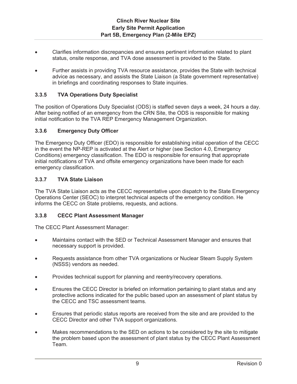- Clarifies information discrepancies and ensures pertinent information related to plant status, onsite response, and TVA dose assessment is provided to the State.
- Further assists in providing TVA resource assistance, provides the State with technical advice as necessary, and assists the State Liaison (a State government representative) in briefings and coordinating responses to State inquiries.

### **3.3.5 TVA Operations Duty Specialist**

The position of Operations Duty Specialist (ODS) is staffed seven days a week, 24 hours a day. After being notified of an emergency from the CRN Site, the ODS is responsible for making initial notification to the TVA REP Emergency Management Organization.

#### **3.3.6 Emergency Duty Officer**

The Emergency Duty Officer (EDO) is responsible for establishing initial operation of the CECC in the event the NP-REP is activated at the Alert or higher (see Section 4.0, Emergency Conditions) emergency classification. The EDO is responsible for ensuring that appropriate initial notifications of TVA and offsite emergency organizations have been made for each emergency classification.

### **3.3.7 TVA State Liaison**

The TVA State Liaison acts as the CECC representative upon dispatch to the State Emergency Operations Center (SEOC) to interpret technical aspects of the emergency condition. He informs the CECC on State problems, requests, and actions.

#### **3.3.8 CECC Plant Assessment Manager**

The CECC Plant Assessment Manager:

- Maintains contact with the SED or Technical Assessment Manager and ensures that necessary support is provided.
- x Requests assistance from other TVA organizations or Nuclear Steam Supply System (NSSS) vendors as needed.
- Provides technical support for planning and reentry/recovery operations.
- Ensures the CECC Director is briefed on information pertaining to plant status and any protective actions indicated for the public based upon an assessment of plant status by the CECC and TSC assessment teams.
- Ensures that periodic status reports are received from the site and are provided to the CECC Director and other TVA support organizations.
- Makes recommendations to the SED on actions to be considered by the site to mitigate the problem based upon the assessment of plant status by the CECC Plant Assessment Team.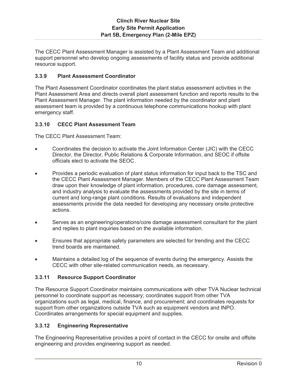The CECC Plant Assessment Manager is assisted by a Plant Assessment Team and additional support personnel who develop ongoing assessments of facility status and provide additional resource support.

### **3.3.9 Plant Assessment Coordinator**

The Plant Assessment Coordinator coordinates the plant status assessment activities in the Plant Assessment Area and directs overall plant assessment function and reports results to the Plant Assessment Manager. The plant information needed by the coordinator and plant assessment team is provided by a continuous telephone communications hookup with plant emergency staff.

# **3.3.10 CECC Plant Assessment Team**

The CECC Plant Assessment Team:

- x Coordinates the decision to activate the Joint Information Center (JIC) with the CECC Director, the Director, Public Relations & Corporate Information, and SEOC if offsite officials elect to activate the SEOC.
- Provides a periodic evaluation of plant status information for input back to the TSC and the CECC Plant Assessment Manager. Members of the CECC Plant Assessment Team draw upon their knowledge of plant information, procedures, core damage assessment, and industry analysis to evaluate the assessments provided by the site in terms of current and long-range plant conditions. Results of evaluations and independent assessments provide the data needed for developing any necessary onsite protective actions.
- Serves as an engineering/operations/core damage assessment consultant for the plant and replies to plant inquiries based on the available information.
- Ensures that appropriate safety parameters are selected for trending and the CECC trend boards are maintained.
- Maintains a detailed log of the sequence of events during the emergency. Assists the CECC with other site-related communication needs, as necessary.

### **3.3.11 Resource Support Coordinator**

The Resource Support Coordinator maintains communications with other TVA Nuclear technical personnel to coordinate support as necessary; coordinates support from other TVA organizations such as legal, medical, finance, and procurement; and coordinates requests for support from other organizations outside TVA such as equipment vendors and INPO. Coordinates arrangements for special equipment and supplies.

### **3.3.12 Engineering Representative**

The Engineering Representative provides a point of contact in the CECC for onsite and offsite engineering and provides engineering support as needed.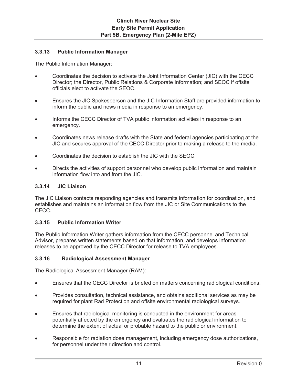### **3.3.13 Public Information Manager**

The Public Information Manager:

- x Coordinates the decision to activate the Joint Information Center (JIC) with the CECC Director; the Director, Public Relations & Corporate Information; and SEOC if offsite officials elect to activate the SEOC.
- **Ensures the JIC Spokesperson and the JIC Information Staff are provided information to** inform the public and news media in response to an emergency.
- Informs the CECC Director of TVA public information activities in response to an emergency.
- Coordinates news release drafts with the State and federal agencies participating at the JIC and secures approval of the CECC Director prior to making a release to the media.
- x Coordinates the decision to establish the JIC with the SEOC.
- Directs the activities of support personnel who develop public information and maintain information flow into and from the JIC.

### **3.3.14 JIC Liaison**

The JIC Liaison contacts responding agencies and transmits information for coordination, and establishes and maintains an information flow from the JIC or Site Communications to the CECC.

#### **3.3.15 Public Information Writer**

The Public Information Writer gathers information from the CECC personnel and Technical Advisor, prepares written statements based on that information, and develops information releases to be approved by the CECC Director for release to TVA employees.

#### **3.3.16 Radiological Assessment Manager**

The Radiological Assessment Manager (RAM):

- Ensures that the CECC Director is briefed on matters concerning radiological conditions.
- Provides consultation, technical assistance, and obtains additional services as may be required for plant Rad Protection and offsite environmental radiological surveys.
- Ensures that radiological monitoring is conducted in the environment for areas potentially affected by the emergency and evaluates the radiological information to determine the extent of actual or probable hazard to the public or environment.
- Responsible for radiation dose management, including emergency dose authorizations, for personnel under their direction and control.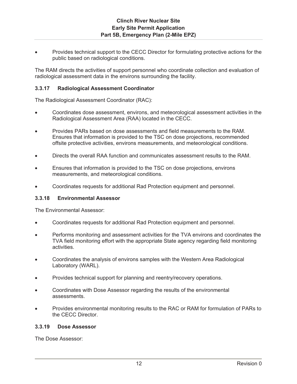Provides technical support to the CECC Director for formulating protective actions for the public based on radiological conditions.

The RAM directs the activities of support personnel who coordinate collection and evaluation of radiological assessment data in the environs surrounding the facility.

#### **3.3.17 Radiological Assessment Coordinator**

The Radiological Assessment Coordinator (RAC):

- Coordinates dose assessment, environs, and meteorological assessment activities in the Radiological Assessment Area (RAA) located in the CECC.
- Provides PARs based on dose assessments and field measurements to the RAM. Ensures that information is provided to the TSC on dose projections, recommended offsite protective activities, environs measurements, and meteorological conditions.
- Directs the overall RAA function and communicates assessment results to the RAM.
- Ensures that information is provided to the TSC on dose projections, environs measurements, and meteorological conditions.
- Coordinates requests for additional Rad Protection equipment and personnel.

#### **3.3.18 Environmental Assessor**

The Environmental Assessor:

- Coordinates requests for additional Rad Protection equipment and personnel.
- **•** Performs monitoring and assessment activities for the TVA environs and coordinates the TVA field monitoring effort with the appropriate State agency regarding field monitoring activities.
- Coordinates the analysis of environs samples with the Western Area Radiological Laboratory (WARL).
- Provides technical support for planning and reentry/recovery operations.
- Coordinates with Dose Assessor regarding the results of the environmental assessments.
- Provides environmental monitoring results to the RAC or RAM for formulation of PARs to the CECC Director.

#### **3.3.19 Dose Assessor**

The Dose Assessor: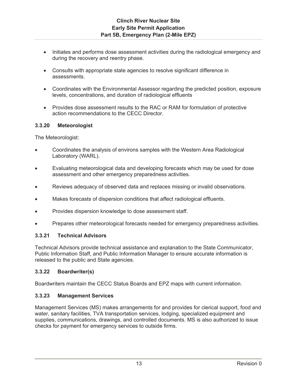- Initiates and performs dose assessment activities during the radiological emergency and during the recovery and reentry phase.
- Consults with appropriate state agencies to resolve significant difference in assessments.
- Coordinates with the Environmental Assessor regarding the predicted position, exposure levels, concentrations, and duration of radiological effluents
- Provides dose assessment results to the RAC or RAM for formulation of protective action recommendations to the CECC Director.

### **3.3.20 Meteorologist**

The Meteorologist:

- Coordinates the analysis of environs samples with the Western Area Radiological Laboratory (WARL).
- Evaluating meteorological data and developing forecasts which may be used for dose assessment and other emergency preparedness activities.
- **EXECT** Reviews adequacy of observed data and replaces missing or invalid observations.
- Makes forecasts of dispersion conditions that affect radiological effluents.
- Provides dispersion knowledge to dose assessment staff.
- Prepares other meteorological forecasts needed for emergency preparedness activities.

#### **3.3.21 Technical Advisors**

Technical Advisors provide technical assistance and explanation to the State Communicator, Public Information Staff, and Public Information Manager to ensure accurate information is released to the public and State agencies.

### **3.3.22 Boardwriter(s)**

Boardwriters maintain the CECC Status Boards and EPZ maps with current information.

### **3.3.23 Management Services**

Management Services (MS) makes arrangements for and provides for clerical support, food and water, sanitary facilities, TVA transportation services, lodging, specialized equipment and supplies, communications, drawings, and controlled documents. MS is also authorized to issue checks for payment for emergency services to outside firms.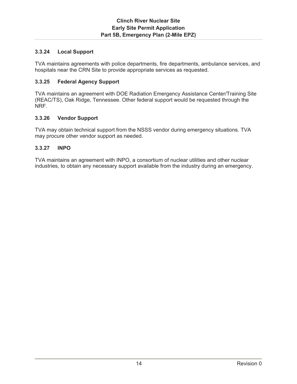# **3.3.24 Local Support**

TVA maintains agreements with police departments, fire departments, ambulance services, and hospitals near the CRN Site to provide appropriate services as requested.

### **3.3.25 Federal Agency Support**

TVA maintains an agreement with DOE Radiation Emergency Assistance Center/Training Site (REAC/TS), Oak Ridge, Tennessee. Other federal support would be requested through the NRF.

### **3.3.26 Vendor Support**

TVA may obtain technical support from the NSSS vendor during emergency situations. TVA may procure other vendor support as needed.

### **3.3.27 INPO**

TVA maintains an agreement with INPO, a consortium of nuclear utilities and other nuclear industries, to obtain any necessary support available from the industry during an emergency.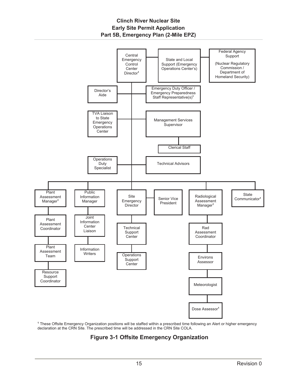

**1** These Offsite Emergency Organization positions will be staffed within a prescribed time following an Alert or higher emergency declaration at the CRN Site. The prescribed time will be addressed in the CRN Site COLA.

# **Figure 3-1 Offsite Emergency Organization**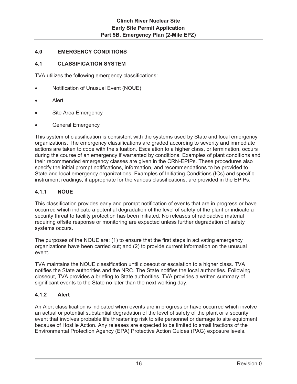### **4.0 EMERGENCY CONDITIONS**

### **4.1 CLASSIFICATION SYSTEM**

TVA utilizes the following emergency classifications:

- Notification of Unusual Event (NOUE)
- Alert
- Site Area Emergency
- General Emergency

This system of classification is consistent with the systems used by State and local emergency organizations. The emergency classifications are graded according to severity and immediate actions are taken to cope with the situation. Escalation to a higher class, or termination, occurs during the course of an emergency if warranted by conditions. Examples of plant conditions and their recommended emergency classes are given in the CRN-EPIPs. These procedures also specify the initial prompt notifications, information, and recommendations to be provided to State and local emergency organizations. Examples of Initiating Conditions (ICs) and specific instrument readings, if appropriate for the various classifications, are provided in the EPIPs.

### **4.1.1 NOUE**

This classification provides early and prompt notification of events that are in progress or have occurred which indicate a potential degradation of the level of safety of the plant or indicate a security threat to facility protection has been initiated. No releases of radioactive material requiring offsite response or monitoring are expected unless further degradation of safety systems occurs.

The purposes of the NOUE are: (1) to ensure that the first steps in activating emergency organizations have been carried out; and (2) to provide current information on the unusual event.

TVA maintains the NOUE classification until closeout or escalation to a higher class. TVA notifies the State authorities and the NRC. The State notifies the local authorities. Following closeout, TVA provides a briefing to State authorities. TVA provides a written summary of significant events to the State no later than the next working day.

### **4.1.2 Alert**

An Alert classification is indicated when events are in progress or have occurred which involve an actual or potential substantial degradation of the level of safety of the plant or a security event that involves probable life threatening risk to site personnel or damage to site equipment because of Hostile Action. Any releases are expected to be limited to small fractions of the Environmental Protection Agency (EPA) Protective Action Guides (PAG) exposure levels.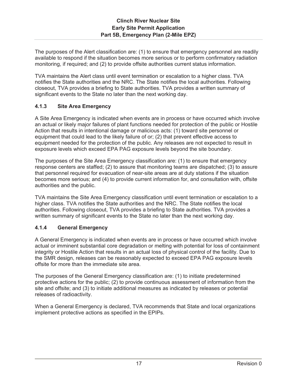The purposes of the Alert classification are: (1) to ensure that emergency personnel are readily available to respond if the situation becomes more serious or to perform confirmatory radiation monitoring, if required; and (2) to provide offsite authorities current status information.

TVA maintains the Alert class until event termination or escalation to a higher class. TVA notifies the State authorities and the NRC. The State notifies the local authorities. Following closeout, TVA provides a briefing to State authorities. TVA provides a written summary of significant events to the State no later than the next working day.

# **4.1.3 Site Area Emergency**

A Site Area Emergency is indicated when events are in process or have occurred which involve an actual or likely major failures of plant functions needed for protection of the public or Hostile Action that results in intentional damage or malicious acts: (1) toward site personnel or equipment that could lead to the likely failure of or; (2) that prevent effective access to equipment needed for the protection of the public. Any releases are not expected to result in exposure levels which exceed EPA PAG exposure levels beyond the site boundary.

The purposes of the Site Area Emergency classification are: (1) to ensure that emergency response centers are staffed; (2) to assure that monitoring teams are dispatched; (3) to assure that personnel required for evacuation of near-site areas are at duty stations if the situation becomes more serious; and (4) to provide current information for, and consultation with, offsite authorities and the public.

TVA maintains the Site Area Emergency classification until event termination or escalation to a higher class. TVA notifies the State authorities and the NRC. The State notifies the local authorities. Following closeout, TVA provides a briefing to State authorities. TVA provides a written summary of significant events to the State no later than the next working day.

### **4.1.4 General Emergency**

A General Emergency is indicated when events are in process or have occurred which involve actual or imminent substantial core degradation or melting with potential for loss of containment integrity or Hostile Action that results in an actual loss of physical control of the facility. Due to the SMR design, releases can be reasonably expected to exceed EPA PAG exposure levels offsite for more than the immediate site area.

The purposes of the General Emergency classification are: (1) to initiate predetermined protective actions for the public; (2) to provide continuous assessment of information from the site and offsite; and (3) to initiate additional measures as indicated by releases or potential releases of radioactivity.

When a General Emergency is declared, TVA recommends that State and local organizations implement protective actions as specified in the EPIPs.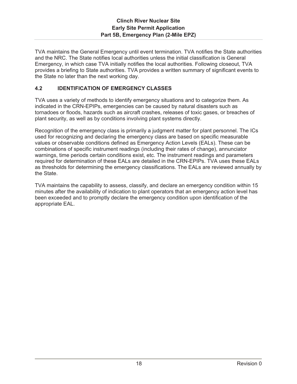TVA maintains the General Emergency until event termination. TVA notifies the State authorities and the NRC. The State notifies local authorities unless the initial classification is General Emergency, in which case TVA initially notifies the local authorities. Following closeout, TVA provides a briefing to State authorities. TVA provides a written summary of significant events to the State no later than the next working day.

# **4.2 IDENTIFICATION OF EMERGENCY CLASSES**

TVA uses a variety of methods to identify emergency situations and to categorize them. As indicated in the CRN-EPIPs, emergencies can be caused by natural disasters such as tornadoes or floods, hazards such as aircraft crashes, releases of toxic gases, or breaches of plant security, as well as by conditions involving plant systems directly.

Recognition of the emergency class is primarily a judgment matter for plant personnel. The ICs used for recognizing and declaring the emergency class are based on specific measurable values or observable conditions defined as Emergency Action Levels (EALs). These can be combinations of specific instrument readings (including their rates of change), annunciator warnings, time periods certain conditions exist, etc. The instrument readings and parameters required for determination of these EALs are detailed in the CRN-EPIPs. TVA uses these EALs as thresholds for determining the emergency classifications. The EALs are reviewed annually by the State.

TVA maintains the capability to assess, classify, and declare an emergency condition within 15 minutes after the availability of indication to plant operators that an emergency action level has been exceeded and to promptly declare the emergency condition upon identification of the appropriate EAL.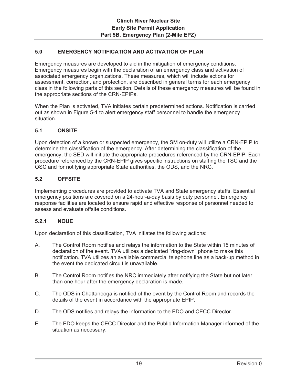### **5.0 EMERGENCY NOTIFICATION AND ACTIVATION OF PLAN**

Emergency measures are developed to aid in the mitigation of emergency conditions. Emergency measures begin with the declaration of an emergency class and activation of associated emergency organizations. These measures, which will include actions for assessment, correction, and protection, are described in general terms for each emergency class in the following parts of this section. Details of these emergency measures will be found in the appropriate sections of the CRN-EPIPs.

When the Plan is activated, TVA initiates certain predetermined actions. Notification is carried out as shown in Figure 5-1 to alert emergency staff personnel to handle the emergency situation.

### **5.1 ONSITE**

Upon detection of a known or suspected emergency, the SM on-duty will utilize a CRN-EPIP to determine the classification of the emergency. After determining the classification of the emergency, the SED will initiate the appropriate procedures referenced by the CRN-EPIP. Each procedure referenced by the CRN-EPIP gives specific instructions on staffing the TSC and the OSC and for notifying appropriate State authorities, the ODS, and the NRC.

### **5.2 OFFSITE**

Implementing procedures are provided to activate TVA and State emergency staffs. Essential emergency positions are covered on a 24-hour-a-day basis by duty personnel. Emergency response facilities are located to ensure rapid and effective response of personnel needed to assess and evaluate offsite conditions.

#### **5.2.1 NOUE**

Upon declaration of this classification, TVA initiates the following actions:

- A. The Control Room notifies and relays the information to the State within 15 minutes of declaration of the event. TVA utilizes a dedicated "ring-down" phone to make this notification. TVA utilizes an available commercial telephone line as a back-up method in the event the dedicated circuit is unavailable.
- B. The Control Room notifies the NRC immediately after notifying the State but not later than one hour after the emergency declaration is made.
- C. The ODS in Chattanooga is notified of the event by the Control Room and records the details of the event in accordance with the appropriate EPIP.
- D. The ODS notifies and relays the information to the EDO and CECC Director.
- E. The EDO keeps the CECC Director and the Public Information Manager informed of the situation as necessary.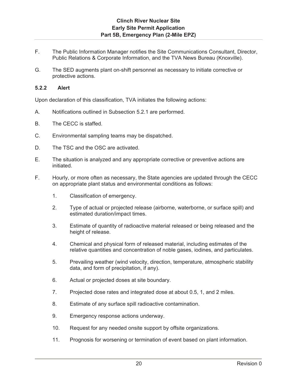- F. The Public Information Manager notifies the Site Communications Consultant, Director, Public Relations & Corporate Information, and the TVA News Bureau (Knoxville).
- G. The SED augments plant on-shift personnel as necessary to initiate corrective or protective actions.

### **5.2.2 Alert**

Upon declaration of this classification, TVA initiates the following actions:

- A. Notifications outlined in Subsection 5.2.1 are performed.
- B. The CECC is staffed.
- C. Environmental sampling teams may be dispatched.
- D. The TSC and the OSC are activated.
- E. The situation is analyzed and any appropriate corrective or preventive actions are initiated.
- F. Hourly, or more often as necessary, the State agencies are updated through the CECC on appropriate plant status and environmental conditions as follows:
	- 1. Classification of emergency.
	- 2. Type of actual or projected release (airborne, waterborne, or surface spill) and estimated duration/impact times.
	- 3. Estimate of quantity of radioactive material released or being released and the height of release.
	- 4. Chemical and physical form of released material, including estimates of the relative quantities and concentration of noble gases, iodines, and particulates.
	- 5. Prevailing weather (wind velocity, direction, temperature, atmospheric stability data, and form of precipitation, if any).
	- 6. Actual or projected doses at site boundary.
	- 7. Projected dose rates and integrated dose at about 0.5, 1, and 2 miles.
	- 8. Estimate of any surface spill radioactive contamination.
	- 9. Emergency response actions underway.
	- 10. Request for any needed onsite support by offsite organizations.
	- 11. Prognosis for worsening or termination of event based on plant information.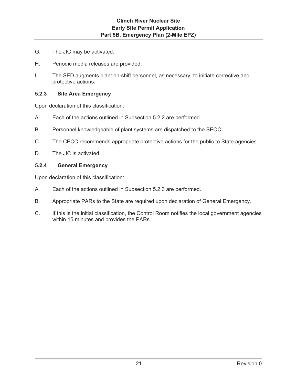- G. The JIC may be activated.
- H. Periodic media releases are provided.
- I. The SED augments plant on-shift personnel, as necessary, to initiate corrective and protective actions.

### **5.2.3 Site Area Emergency**

Upon declaration of this classification:

- A. Each of the actions outlined in Subsection 5.2.2 are performed.
- B. Personnel knowledgeable of plant systems are dispatched to the SEOC.
- C. The CECC recommends appropriate protective actions for the public to State agencies.
- D. The JIC is activated.

### **5.2.4 General Emergency**

Upon declaration of this classification:

- A. Each of the actions outlined in Subsection 5.2.3 are performed.
- B. Appropriate PARs to the State are required upon declaration of General Emergency.
- C. If this is the initial classification, the Control Room notifies the local government agencies within 15 minutes and provides the PARs.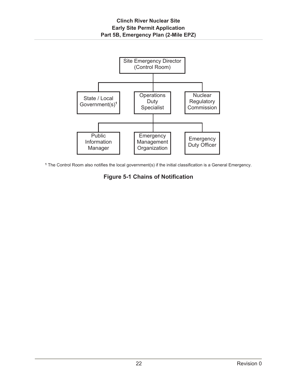

**<sup>1</sup>** The Control Room also notifies the local government(s) if the initial classification is a General Emergency.

# **Figure 5-1 Chains of Notification**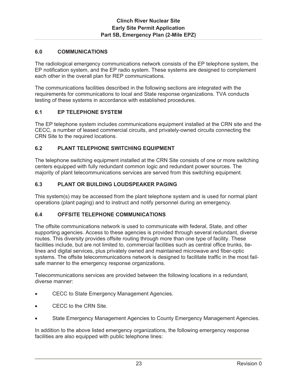### **6.0 COMMUNICATIONS**

The radiological emergency communications network consists of the EP telephone system, the EP notification system, and the EP radio system. These systems are designed to complement each other in the overall plan for REP communications.

The communications facilities described in the following sections are integrated with the requirements for communications to local and State response organizations. TVA conducts testing of these systems in accordance with established procedures.

### **6.1 EP TELEPHONE SYSTEM**

The EP telephone system includes communications equipment installed at the CRN site and the CECC, a number of leased commercial circuits, and privately-owned circuits connecting the CRN Site to the required locations.

### **6.2 PLANT TELEPHONE SWITCHING EQUIPMENT**

The telephone switching equipment installed at the CRN Site consists of one or more switching centers equipped with fully redundant common logic and redundant power sources. The majority of plant telecommunications services are served from this switching equipment.

### **6.3 PLANT OR BUILDING LOUDSPEAKER PAGING**

This system(s) may be accessed from the plant telephone system and is used for normal plant operations (plant paging) and to instruct and notify personnel during an emergency.

#### **6.4 OFFSITE TELEPHONE COMMUNICATIONS**

The offsite communications network is used to communicate with federal, State, and other supporting agencies. Access to these agencies is provided through several redundant, diverse routes. This diversity provides offsite routing through more than one type of facility. These facilities include, but are not limited to, commercial facilities such as central office trunks, tielines and digital services, plus privately owned and maintained microwave and fiber-optic systems. The offsite telecommunications network is designed to facilitate traffic in the most failsafe manner to the emergency response organizations.

Telecommunications services are provided between the following locations in a redundant, diverse manner:

- CECC to State Emergency Management Agencies.
- CECC to the CRN Site.
- State Emergency Management Agencies to County Emergency Management Agencies.

In addition to the above listed emergency organizations, the following emergency response facilities are also equipped with public telephone lines: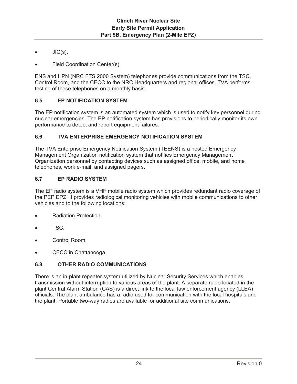- $JIC(s)$ .
- Field Coordination Center(s).

ENS and HPN (NRC FTS 2000 System) telephones provide communications from the TSC, Control Room, and the CECC to the NRC Headquarters and regional offices. TVA performs testing of these telephones on a monthly basis.

# **6.5 EP NOTIFICATION SYSTEM**

The EP notification system is an automated system which is used to notify key personnel during nuclear emergencies. The EP notification system has provisions to periodically monitor its own performance to detect and report equipment failures.

### **6.6 TVA ENTERPRISE EMERGENCY NOTIFICATION SYSTEM**

The TVA Enterprise Emergency Notification System (TEENS) is a hosted Emergency Management Organization notification system that notifies Emergency Management Organization personnel by contacting devices such as assigned office, mobile, and home telephones, work e-mail, and assigned pagers.

# **6.7 EP RADIO SYSTEM**

The EP radio system is a VHF mobile radio system which provides redundant radio coverage of the PEP EPZ. It provides radiological monitoring vehicles with mobile communications to other vehicles and to the following locations:

- Radiation Protection.
- TSC.
- Control Room.
- CECC in Chattanooga.

# **6.8 OTHER RADIO COMMUNICATIONS**

There is an in-plant repeater system utilized by Nuclear Security Services which enables transmission without interruption to various areas of the plant. A separate radio located in the plant Central Alarm Station (CAS) is a direct link to the local law enforcement agency (LLEA) officials. The plant ambulance has a radio used for communication with the local hospitals and the plant. Portable two-way radios are available for additional site communications.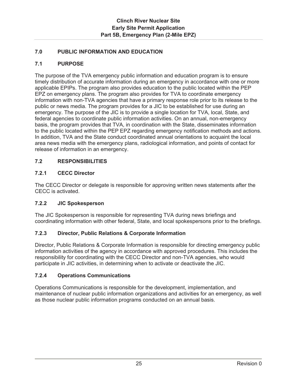# **7.0 PUBLIC INFORMATION AND EDUCATION**

### **7.1 PURPOSE**

The purpose of the TVA emergency public information and education program is to ensure timely distribution of accurate information during an emergency in accordance with one or more applicable EPIPs. The program also provides education to the public located within the PEP EPZ on emergency plans. The program also provides for TVA to coordinate emergency information with non-TVA agencies that have a primary response role prior to its release to the public or news media. The program provides for a JIC to be established for use during an emergency. The purpose of the JIC is to provide a single location for TVA, local, State, and federal agencies to coordinate public information activities. On an annual, non-emergency basis, the program provides that TVA, in coordination with the State, disseminates information to the public located within the PEP EPZ regarding emergency notification methods and actions. In addition, TVA and the State conduct coordinated annual orientations to acquaint the local area news media with the emergency plans, radiological information, and points of contact for release of information in an emergency.

### **7.2 RESPONSIBILITIES**

# **7.2.1 CECC Director**

The CECC Director or delegate is responsible for approving written news statements after the CECC is activated.

### **7.2.2 JIC Spokesperson**

The JIC Spokesperson is responsible for representing TVA during news briefings and coordinating information with other federal, State, and local spokespersons prior to the briefings.

### **7.2.3 Director, Public Relations & Corporate Information**

Director, Public Relations & Corporate Information is responsible for directing emergency public information activities of the agency in accordance with approved procedures. This includes the responsibility for coordinating with the CECC Director and non-TVA agencies, who would participate in JIC activities, in determining when to activate or deactivate the JIC.

### **7.2.4 Operations Communications**

Operations Communications is responsible for the development, implementation, and maintenance of nuclear public information organizations and activities for an emergency, as well as those nuclear public information programs conducted on an annual basis.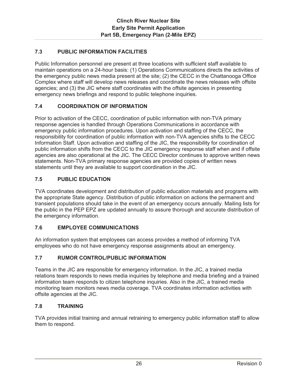# **7.3 PUBLIC INFORMATION FACILITIES**

Public Information personnel are present at three locations with sufficient staff available to maintain operations on a 24-hour basis: (1) Operations Communications directs the activities of the emergency public news media present at the site; (2) the CECC in the Chattanooga Office Complex where staff will develop news releases and coordinate the news releases with offsite agencies; and (3) the JIC where staff coordinates with the offsite agencies in presenting emergency news briefings and respond to public telephone inquiries.

### **7.4 COORDINATION OF INFORMATION**

Prior to activation of the CECC, coordination of public information with non-TVA primary response agencies is handled through Operations Communications in accordance with emergency public information procedures. Upon activation and staffing of the CECC, the responsibility for coordination of public information with non-TVA agencies shifts to the CECC Information Staff. Upon activation and staffing of the JIC, the responsibility for coordination of public information shifts from the CECC to the JIC emergency response staff when and if offsite agencies are also operational at the JIC. The CECC Director continues to approve written news statements. Non-TVA primary response agencies are provided copies of written news statements until they are available to support coordination in the JIC.

### **7.5 PUBLIC EDUCATION**

TVA coordinates development and distribution of public education materials and programs with the appropriate State agency. Distribution of public information on actions the permanent and transient populations should take in the event of an emergency occurs annually. Mailing lists for the public in the PEP EPZ are updated annually to assure thorough and accurate distribution of the emergency information.

#### **7.6 EMPLOYEE COMMUNICATIONS**

An information system that employees can access provides a method of informing TVA employees who do not have emergency response assignments about an emergency.

#### **7.7 RUMOR CONTROL/PUBLIC INFORMATION**

Teams in the JIC are responsible for emergency information. In the JIC, a trained media relations team responds to news media inquiries by telephone and media briefing and a trained information team responds to citizen telephone inquiries. Also in the JIC, a trained media monitoring team monitors news media coverage. TVA coordinates information activities with offsite agencies at the JIC.

#### **7.8 TRAINING**

TVA provides initial training and annual retraining to emergency public information staff to allow them to respond.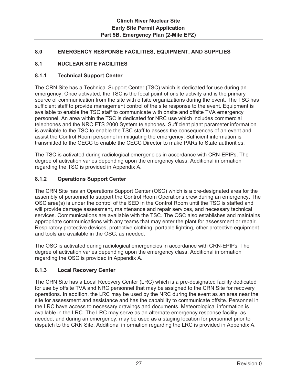### **8.0 EMERGENCY RESPONSE FACILITIES, EQUIPMENT, AND SUPPLIES**

### **8.1 NUCLEAR SITE FACILITIES**

### **8.1.1 Technical Support Center**

The CRN Site has a Technical Support Center (TSC) which is dedicated for use during an emergency. Once activated, the TSC is the focal point of onsite activity and is the primary source of communication from the site with offsite organizations during the event. The TSC has sufficient staff to provide management control of the site response to the event. Equipment is available to enable the TSC staff to communicate with onsite and offsite TVA emergency personnel. An area within the TSC is dedicated for NRC use which includes commercial telephones and the NRC FTS 2000 System telephones. Sufficient plant parameter information is available to the TSC to enable the TSC staff to assess the consequences of an event and assist the Control Room personnel in mitigating the emergency. Sufficient information is transmitted to the CECC to enable the CECC Director to make PARs to State authorities.

The TSC is activated during radiological emergencies in accordance with CRN-EPIPs. The degree of activation varies depending upon the emergency class. Additional information regarding the TSC is provided in Appendix A.

### **8.1.2 Operations Support Center**

The CRN Site has an Operations Support Center (OSC) which is a pre-designated area for the assembly of personnel to support the Control Room Operations crew during an emergency. The OSC area(s) is under the control of the SED in the Control Room until the TSC is staffed and will provide damage assessment, maintenance and repair services, and necessary technical services. Communications are available with the TSC. The OSC also establishes and maintains appropriate communications with any teams that may enter the plant for assessment or repair. Respiratory protective devices, protective clothing, portable lighting, other protective equipment and tools are available in the OSC, as needed.

The OSC is activated during radiological emergencies in accordance with CRN-EPIPs. The degree of activation varies depending upon the emergency class. Additional information regarding the OSC is provided in Appendix A.

#### **8.1.3 Local Recovery Center**

The CRN Site has a Local Recovery Center (LRC) which is a pre-designated facility dedicated for use by offsite TVA and NRC personnel that may be assigned to the CRN Site for recovery operations. In addition, the LRC may be used by the NRC during the event as an area near the site for assessment and assistance and has the capability to communicate offsite. Personnel in the LRC have access to necessary drawings and documents. Meteorological information is available in the LRC. The LRC may serve as an alternate emergency response facility, as needed, and during an emergency, may be used as a staging location for personnel prior to dispatch to the CRN Site. Additional information regarding the LRC is provided in Appendix A.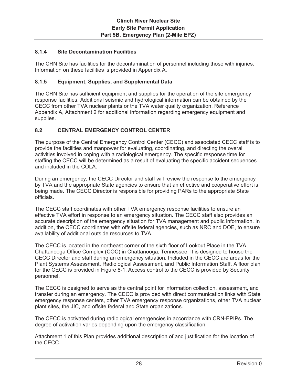### **8.1.4 Site Decontamination Facilities**

The CRN Site has facilities for the decontamination of personnel including those with injuries. Information on these facilities is provided in Appendix A.

#### **8.1.5 Equipment, Supplies, and Supplemental Data**

The CRN Site has sufficient equipment and supplies for the operation of the site emergency response facilities. Additional seismic and hydrological information can be obtained by the CECC from other TVA nuclear plants or the TVA water quality organization. Reference Appendix A, Attachment 2 for additional information regarding emergency equipment and supplies.

### **8.2 CENTRAL EMERGENCY CONTROL CENTER**

The purpose of the Central Emergency Control Center (CECC) and associated CECC staff is to provide the facilities and manpower for evaluating, coordinating, and directing the overall activities involved in coping with a radiological emergency. The specific response time for staffing the CECC will be determined as a result of evaluating the specific accident sequences and included in the COLA.

During an emergency, the CECC Director and staff will review the response to the emergency by TVA and the appropriate State agencies to ensure that an effective and cooperative effort is being made. The CECC Director is responsible for providing PARs to the appropriate State officials.

The CECC staff coordinates with other TVA emergency response facilities to ensure an effective TVA effort in response to an emergency situation. The CECC staff also provides an accurate description of the emergency situation for TVA management and public information. In addition, the CECC coordinates with offsite federal agencies, such as NRC and DOE, to ensure availability of additional outside resources to TVA.

The CECC is located in the northeast corner of the sixth floor of Lookout Place in the TVA Chattanooga Office Complex (COC) in Chattanooga, Tennessee. It is designed to house the CECC Director and staff during an emergency situation. Included in the CECC are areas for the Plant Systems Assessment, Radiological Assessment, and Public Information Staff. A floor plan for the CECC is provided in Figure 8-1. Access control to the CECC is provided by Security personnel.

The CECC is designed to serve as the central point for information collection, assessment, and transfer during an emergency. The CECC is provided with direct communication links with State emergency response centers, other TVA emergency response organizations, other TVA nuclear plant sites, the JIC, and offsite federal and State organizations.

The CECC is activated during radiological emergencies in accordance with CRN-EPIPs. The degree of activation varies depending upon the emergency classification.

Attachment 1 of this Plan provides additional description of and justification for the location of the CECC.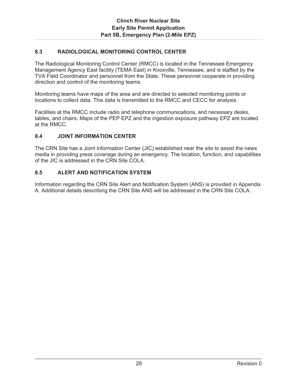### **8.3 RADIOLOGICAL MONITORING CONTROL CENTER**

The Radiological Monitoring Control Center (RMCC) is located in the Tennessee Emergency Management Agency East facility (TEMA East) in Knoxville, Tennessee, and is staffed by the TVA Field Coordinator and personnel from the State. These personnel cooperate in providing direction and control of the monitoring teams.

Monitoring teams have maps of the area and are directed to selected monitoring points or locations to collect data. This data is transmitted to the RMCC and CECC for analysis.

Facilities at the RMCC include radio and telephone communications, and necessary desks, tables, and chairs. Maps of the PEP EPZ and the ingestion exposure pathway EPZ are located at the RMCC.

### **8.4 JOINT INFORMATION CENTER**

The CRN Site has a Joint Information Center (JIC) established near the site to assist the news media in providing press coverage during an emergency. The location, function, and capabilities of the JIC is addressed in the CRN Site COLA.

### **8.5 ALERT AND NOTIFICATION SYSTEM**

Information regarding the CRN Site Alert and Notification System (ANS) is provided in Appendix A. Additional details describing the CRN Site ANS will be addressed in the CRN Site COLA.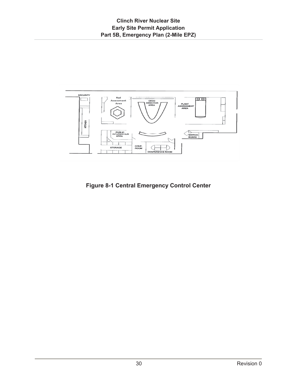

**Figure 8-1 Central Emergency Control Center**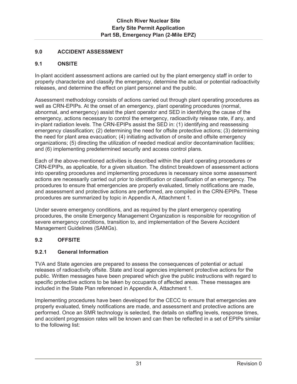## **9.0 ACCIDENT ASSESSMENT**

## **9.1 ONSITE**

In-plant accident assessment actions are carried out by the plant emergency staff in order to properly characterize and classify the emergency, determine the actual or potential radioactivity releases, and determine the effect on plant personnel and the public.

Assessment methodology consists of actions carried out through plant operating procedures as well as CRN-EPIPs. At the onset of an emergency, plant operating procedures (normal, abnormal, and emergency) assist the plant operator and SED in identifying the cause of the emergency, actions necessary to control the emergency, radioactivity release rate, if any, and in-plant radiation levels. The CRN-EPIPs assist the SED in: (1) identifying and reassessing emergency classification; (2) determining the need for offsite protective actions; (3) determining the need for plant area evacuation; (4) initiating activation of onsite and offsite emergency organizations; (5) directing the utilization of needed medical and/or decontamination facilities; and (6) implementing predetermined security and access control plans.

Each of the above-mentioned activities is described within the plant operating procedures or CRN-EPIPs, as applicable, for a given situation. The distinct breakdown of assessment actions into operating procedures and implementing procedures is necessary since some assessment actions are necessarily carried out prior to identification or classification of an emergency. The procedures to ensure that emergencies are properly evaluated, timely notifications are made, and assessment and protective actions are performed, are compiled in the CRN-EPIPs. These procedures are summarized by topic in Appendix A, Attachment 1.

Under severe emergency conditions, and as required by the plant emergency operating procedures, the onsite Emergency Management Organization is responsible for recognition of severe emergency conditions, transition to, and implementation of the Severe Accident Management Guidelines (SAMGs).

## **9.2 OFFSITE**

### **9.2.1 General Information**

TVA and State agencies are prepared to assess the consequences of potential or actual releases of radioactivity offsite. State and local agencies implement protective actions for the public. Written messages have been prepared which give the public instructions with regard to specific protective actions to be taken by occupants of affected areas. These messages are included in the State Plan referenced in Appendix A, Attachment 1.

Implementing procedures have been developed for the CECC to ensure that emergencies are properly evaluated, timely notifications are made, and assessment and protective actions are performed. Once an SMR technology is selected, the details on staffing levels, response times, and accident progression rates will be known and can then be reflected in a set of EPIPs similar to the following list: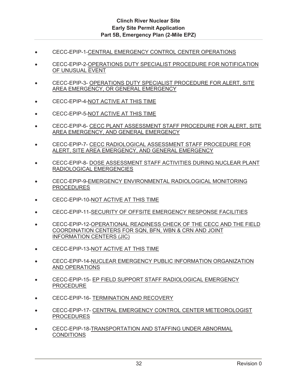- CECC-EPIP-1-CENTRAL EMERGENCY CONTROL CENTER OPERATIONS
- CECC-EPIP-2-OPERATIONS DUTY SPECIALIST PROCEDURE FOR NOTIFICATION OF UNUSUAL EVENT
- CECC-EPIP-3- OPERATIONS DUTY SPECIALIST PROCEDURE FOR ALERT, SITE AREA EMERGENCY, OR GENERAL EMERGENCY
- **EXECC-EPIP-4-NOT ACTIVE AT THIS TIME**
- CECC-EPIP-5-NOT ACTIVE AT THIS TIME
- **EXAMPLE CECC-EPIP-6- CECC PLANT ASSESSMENT STAFF PROCEDURE FOR ALERT, SITE** AREA EMERGENCY, AND GENERAL EMERGENCY
- x CECC-EPIP-7- CECC RADIOLOGICAL ASSESSMENT STAFF PROCEDURE FOR ALERT, SITE AREA EMERGENCY, AND GENERAL EMERGENCY
- **CECC-EPIP-8- DOSE ASSESSMENT STAFF ACTIVITIES DURING NUCLEAR PLANT** RADIOLOGICAL EMERGENCIES
- x CECC-EPIP-9-EMERGENCY ENVIRONMENTAL RADIOLOGICAL MONITORING PROCEDURES
- CECC-EPIP-10-NOT ACTIVE AT THIS TIME
- **EXAMPLE CECC-EPIP-11-SECURITY OF OFFSITE EMERGENCY RESPONSE FACILITIES**
- CECC-EPIP-12-OPERATIONAL READINESS CHECK OF THE CECC AND THE FIELD COORDINATION CENTERS FOR SQN, BFN, WBN & CRN AND JOINT INFORMATION CENTERS (JIC)
- **EXECC-EPIP-13-NOT ACTIVE AT THIS TIME**
- **EXECC-EPIP-14-NUCLEAR EMERGENCY PUBLIC INFORMATION ORGANIZATION** AND OPERATIONS
- **CECC-EPIP-15- EP FIELD SUPPORT STAFF RADIOLOGICAL EMERGENCY** PROCEDURE
- CECC-EPIP-16- TERMINATION AND RECOVERY
- **EXECC-EPIP-17- CENTRAL EMERGENCY CONTROL CENTER METEOROLOGIST** PROCEDURES
- CECC-EPIP-18-TRANSPORTATION AND STAFFING UNDER ABNORMAL **CONDITIONS**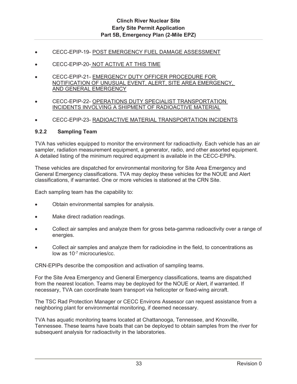- CECC-EPIP-19- POST EMERGENCY FUEL DAMAGE ASSESSMENT
- CECC-EPIP-20- NOT ACTIVE AT THIS TIME
- CECC-EPIP-21- EMERGENCY DUTY OFFICER PROCEDURE FOR NOTIFICATION OF UNUSUAL EVENT, ALERT, SITE AREA EMERGENCY, AND GENERAL EMERGENCY
- CECC-EPIP-22- OPERATIONS DUTY SPECIALIST TRANSPORTATION INCIDENTS INVOLVING A SHIPMENT OF RADIOACTIVE MATERIAL
- CECC-EPIP-23- RADIOACTIVE MATERIAL TRANSPORTATION INCIDENTS

#### **9.2.2 Sampling Team**

TVA has vehicles equipped to monitor the environment for radioactivity. Each vehicle has an air sampler, radiation measurement equipment, a generator, radio, and other assorted equipment. A detailed listing of the minimum required equipment is available in the CECC-EPIPs.

These vehicles are dispatched for environmental monitoring for Site Area Emergency and General Emergency classifications. TVA may deploy these vehicles for the NOUE and Alert classifications, if warranted. One or more vehicles is stationed at the CRN Site.

Each sampling team has the capability to:

- Obtain environmental samples for analysis.
- Make direct radiation readings.
- Collect air samples and analyze them for gross beta-gamma radioactivity over a range of energies.
- Collect air samples and analyze them for radioiodine in the field, to concentrations as low as 10-7 microcuries/cc.

CRN-EPIPs describe the composition and activation of sampling teams.

For the Site Area Emergency and General Emergency classifications, teams are dispatched from the nearest location. Teams may be deployed for the NOUE or Alert, if warranted. If necessary, TVA can coordinate team transport via helicopter or fixed-wing aircraft.

The TSC Rad Protection Manager or CECC Environs Assessor can request assistance from a neighboring plant for environmental monitoring, if deemed necessary.

TVA has aquatic monitoring teams located at Chattanooga, Tennessee, and Knoxville, Tennessee. These teams have boats that can be deployed to obtain samples from the river for subsequent analysis for radioactivity in the laboratories.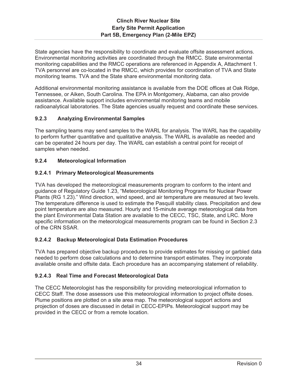State agencies have the responsibility to coordinate and evaluate offsite assessment actions. Environmental monitoring activities are coordinated through the RMCC. State environmental monitoring capabilities and the RMCC operations are referenced in Appendix A, Attachment 1. TVA personnel are co-located in the RMCC, which provides for coordination of TVA and State monitoring teams. TVA and the State share environmental monitoring data.

Additional environmental monitoring assistance is available from the DOE offices at Oak Ridge, Tennessee, or Aiken, South Carolina. The EPA in Montgomery, Alabama, can also provide assistance. Available support includes environmental monitoring teams and mobile radioanalytical laboratories. The State agencies usually request and coordinate these services.

## **9.2.3 Analyzing Environmental Samples**

The sampling teams may send samples to the WARL for analysis. The WARL has the capability to perform further quantitative and qualitative analysis. The WARL is available as needed and can be operated 24 hours per day. The WARL can establish a central point for receipt of samples when needed.

## **9.2.4 Meteorological Information**

## **9.2.4.1 Primary Meteorological Measurements**

TVA has developed the meteorological measurements program to conform to the intent and guidance of Regulatory Guide 1.23, "Meteorological Monitoring Programs for Nuclear Power Plants (RG 1.23)." Wind direction, wind speed, and air temperature are measured at two levels. The temperature difference is used to estimate the Pasquill stability class. Precipitation and dew point temperature are also measured. Hourly and 15-minute average meteorological data from the plant Environmental Data Station are available to the CECC, TSC, State, and LRC. More specific information on the meteorological measurements program can be found in Section 2.3 of the CRN SSAR.

## **9.2.4.2 Backup Meteorological Data Estimation Procedures**

TVA has prepared objective backup procedures to provide estimates for missing or garbled data needed to perform dose calculations and to determine transport estimates. They incorporate available onsite and offsite data. Each procedure has an accompanying statement of reliability.

## **9.2.4.3 Real Time and Forecast Meteorological Data**

The CECC Meteorologist has the responsibility for providing meteorological information to CECC Staff. The dose assessors use this meteorological information to project offsite doses. Plume positions are plotted on a site area map. The meteorological support actions and projection of doses are discussed in detail in CECC-EPIPs. Meteorological support may be provided in the CECC or from a remote location.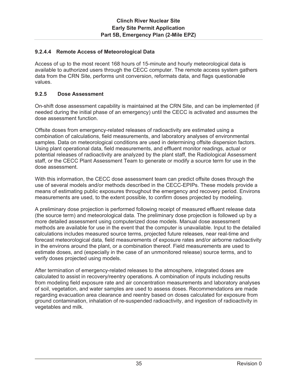## **9.2.4.4 Remote Access of Meteorological Data**

Access of up to the most recent 168 hours of 15-minute and hourly meteorological data is available to authorized users through the CECC computer. The remote access system gathers data from the CRN Site, performs unit conversion, reformats data, and flags questionable values.

## **9.2.5 Dose Assessment**

On-shift dose assessment capability is maintained at the CRN Site, and can be implemented (if needed during the initial phase of an emergency) until the CECC is activated and assumes the dose assessment function.

Offsite doses from emergency-related releases of radioactivity are estimated using a combination of calculations, field measurements, and laboratory analyses of environmental samples. Data on meteorological conditions are used in determining offsite dispersion factors. Using plant operational data, field measurements, and effluent monitor readings, actual or potential releases of radioactivity are analyzed by the plant staff, the Radiological Assessment staff, or the CECC Plant Assessment Team to generate or modify a source term for use in the dose assessment.

With this information, the CECC dose assessment team can predict offsite doses through the use of several models and/or methods described in the CECC-EPIPs. These models provide a means of estimating public exposures throughout the emergency and recovery period. Environs measurements are used, to the extent possible, to confirm doses projected by modeling.

A preliminary dose projection is performed following receipt of measured effluent release data (the source term) and meteorological data. The preliminary dose projection is followed up by a more detailed assessment using computerized dose models. Manual dose assessment methods are available for use in the event that the computer is unavailable. Input to the detailed calculations includes measured source terms, projected future releases, near real-time and forecast meteorological data, field measurements of exposure rates and/or airborne radioactivity in the environs around the plant, or a combination thereof. Field measurements are used to estimate doses, and (especially in the case of an unmonitored release) source terms, and to verify doses projected using models.

After termination of emergency-related releases to the atmosphere, integrated doses are calculated to assist in recovery/reentry operations. A combination of inputs including results from modeling field exposure rate and air concentration measurements and laboratory analyses of soil, vegetation, and water samples are used to assess doses. Recommendations are made regarding evacuation area clearance and reentry based on doses calculated for exposure from ground contamination, inhalation of re-suspended radioactivity, and ingestion of radioactivity in vegetables and milk.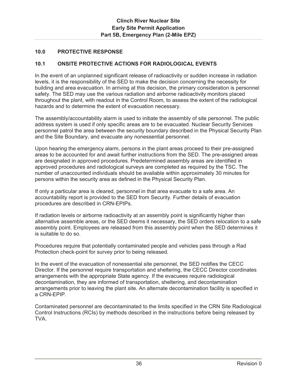## **10.0 PROTECTIVE RESPONSE**

## **10.1 ONSITE PROTECTIVE ACTIONS FOR RADIOLOGICAL EVENTS**

In the event of an unplanned significant release of radioactivity or sudden increase in radiation levels, it is the responsibility of the SED to make the decision concerning the necessity for building and area evacuation. In arriving at this decision, the primary consideration is personnel safety. The SED may use the various radiation and airborne radioactivity monitors placed throughout the plant, with readout in the Control Room, to assess the extent of the radiological hazards and to determine the extent of evacuation necessary.

The assembly/accountability alarm is used to initiate the assembly of site personnel. The public address system is used if only specific areas are to be evacuated. Nuclear Security Services personnel patrol the area between the security boundary described in the Physical Security Plan and the Site Boundary, and evacuate any nonessential personnel.

Upon hearing the emergency alarm, persons in the plant areas proceed to their pre-assigned areas to be accounted for and await further instructions from the SED. The pre-assigned areas are designated in approved procedures. Predetermined assembly areas are identified in approved procedures and radiological surveys are completed as required by the TSC. The number of unaccounted individuals should be available within approximately 30 minutes for persons within the security area as defined in the Physical Security Plan.

If only a particular area is cleared, personnel in that area evacuate to a safe area. An accountability report is provided to the SED from Security. Further details of evacuation procedures are described in CRN-EPIPs.

If radiation levels or airborne radioactivity at an assembly point is significantly higher than alternative assemble areas, or the SED deems it necessary, the SED orders relocation to a safe assembly point. Employees are released from this assembly point when the SED determines it is suitable to do so.

Procedures require that potentially contaminated people and vehicles pass through a Rad Protection check-point for survey prior to being released.

In the event of the evacuation of nonessential site personnel, the SED notifies the CECC Director. If the personnel require transportation and sheltering, the CECC Director coordinates arrangements with the appropriate State agency. If the evacuees require radiological decontamination, they are informed of transportation, sheltering, and decontamination arrangements prior to leaving the plant site. An alternate decontamination facility is specified in a CRN-EPIP.

Contaminated personnel are decontaminated to the limits specified in the CRN Site Radiological Control Instructions (RCIs) by methods described in the instructions before being released by TVA.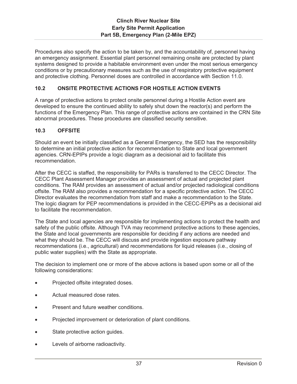Procedures also specify the action to be taken by, and the accountability of, personnel having an emergency assignment. Essential plant personnel remaining onsite are protected by plant systems designed to provide a habitable environment even under the most serious emergency conditions or by precautionary measures such as the use of respiratory protective equipment and protective clothing. Personnel doses are controlled in accordance with Section 11.0.

## **10.2 ONSITE PROTECTIVE ACTIONS FOR HOSTILE ACTION EVENTS**

A range of protective actions to protect onsite personnel during a Hostile Action event are developed to ensure the continued ability to safely shut down the reactor(s) and perform the functions of the Emergency Plan. This range of protective actions are contained in the CRN Site abnormal procedures. These procedures are classified security sensitive.

## **10.3 OFFSITE**

Should an event be initially classified as a General Emergency, the SED has the responsibility to determine an initial protective action for recommendation to State and local government agencies. CRN-EPIPs provide a logic diagram as a decisional aid to facilitate this recommendation.

After the CECC is staffed, the responsibility for PARs is transferred to the CECC Director. The CECC Plant Assessment Manager provides an assessment of actual and projected plant conditions. The RAM provides an assessment of actual and/or projected radiological conditions offsite. The RAM also provides a recommendation for a specific protective action. The CECC Director evaluates the recommendation from staff and make a recommendation to the State. The logic diagram for PEP recommendations is provided in the CECC-EPIPs as a decisional aid to facilitate the recommendation.

The State and local agencies are responsible for implementing actions to protect the health and safety of the public offsite. Although TVA may recommend protective actions to these agencies. the State and local governments are responsible for deciding if any actions are needed and what they should be. The CECC will discuss and provide ingestion exposure pathway recommendations (i.e., agricultural) and recommendations for liquid releases (i.e., closing of public water supplies) with the State as appropriate.

The decision to implement one or more of the above actions is based upon some or all of the following considerations:

- Projected offsite integrated doses.
- Actual measured dose rates.
- Present and future weather conditions.
- Projected improvement or deterioration of plant conditions.
- State protective action guides.
- Levels of airborne radioactivity.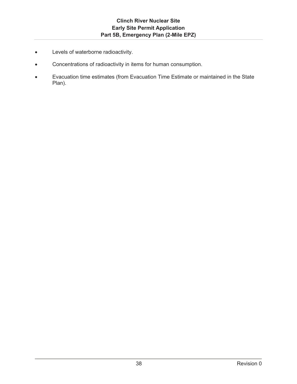- **•** Levels of waterborne radioactivity.
- Concentrations of radioactivity in items for human consumption.
- Evacuation time estimates (from Evacuation Time Estimate or maintained in the State Plan).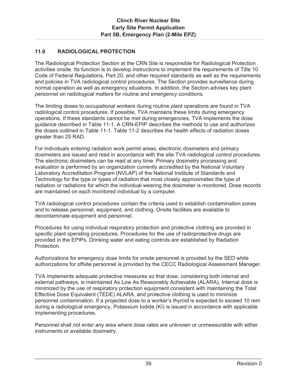## **11.0 RADIOLOGICAL PROTECTION**

The Radiological Protection Section at the CRN Site is responsible for Radiological Protection activities onsite. Its function is to develop instructions to implement the requirements of Title 10 Code of Federal Regulations, Part 20, and other required standards as well as the requirements and policies in TVA radiological control procedures. The Section provides surveillance during normal operation as well as emergency situations. In addition, the Section advises key plant personnel on radiological matters for routine and emergency conditions.

The limiting doses to occupational workers during routine plant operations are found in TVA radiological control procedures. If possible, TVA maintains these limits during emergency operations. If these standards cannot be met during emergencies, TVA implements the dose guidance described in Table 11-1. A CRN-EPIP describes the methods to use and authorizes the doses outlined in Table 11-1. Table 11-2 describes the health effects of radiation doses greater than 25 RAD.

For individuals entering radiation work permit areas, electronic dosimeters and primary dosimeters are issued and read in accordance with the site TVA radiological control procedures. The electronic dosimeters can be read at any time. Primary dosimetry processing and evaluation is performed by an organization currently accredited by the National Voluntary Laboratory Accreditation Program (NVLAP) of the National Institute of Standards and Technology for the type or types of radiation that most closely approximates the type of radiation or radiations for which the individual wearing the dosimeter is monitored. Dose records are maintained on each monitored individual by a computer.

TVA radiological control procedures contain the criteria used to establish contamination zones and to release personnel, equipment, and clothing. Onsite facilities are available to decontaminate equipment and personnel.

Procedures for using individual respiratory protection and protective clothing are provided in specific plant operating procedures. Procedures for the use of radioprotective drugs are provided in the EPIPs. Drinking water and eating controls are established by Radiation Protection.

Authorizations for emergency dose limits for onsite personnel is provided by the SED while authorizations for offsite personnel is provided by the CECC Radiological Assessment Manager.

TVA implements adequate protective measures so that dose, considering both internal and external pathways, is maintained As Low As Reasonably Achievable (ALARA). Internal dose is minimized by the use of respiratory protection equipment consistent with maintaining the Total Effective Dose Equivalent (TEDE) ALARA, and protective clothing is used to minimize personnel contamination. If a projected dose to a worker's thyroid is expected to exceed 10 rem during a radiological emergency, Potassium Iodide (KI) is issued in accordance with applicable implementing procedures.

Personnel shall not enter any area where dose rates are unknown or unmeasurable with either instruments or available dosimetry.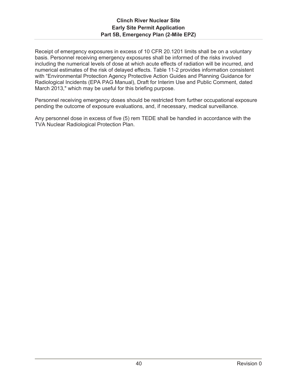Receipt of emergency exposures in excess of 10 CFR 20.1201 limits shall be on a voluntary basis. Personnel receiving emergency exposures shall be informed of the risks involved including the numerical levels of dose at which acute effects of radiation will be incurred, and numerical estimates of the risk of delayed effects. Table 11-2 provides information consistent with "Environmental Protection Agency Protective Action Guides and Planning Guidance for Radiological Incidents (EPA PAG Manual), Draft for Interim Use and Public Comment, dated March 2013," which may be useful for this briefing purpose.

Personnel receiving emergency doses should be restricted from further occupational exposure pending the outcome of exposure evaluations, and, if necessary, medical surveillance.

Any personnel dose in excess of five (5) rem TEDE shall be handled in accordance with the TVA Nuclear Radiological Protection Plan.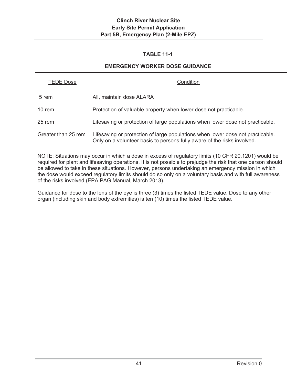# **TABLE 11-1**

# **EMERGENCY WORKER DOSE GUIDANCE**

| TEDE Dose           | Condition                                                                                                                                                 |
|---------------------|-----------------------------------------------------------------------------------------------------------------------------------------------------------|
| 5 rem               | All, maintain dose ALARA                                                                                                                                  |
| 10 rem              | Protection of valuable property when lower dose not practicable.                                                                                          |
| 25 rem              | Lifesaving or protection of large populations when lower dose not practicable.                                                                            |
| Greater than 25 rem | Lifesaving or protection of large populations when lower dose not practicable.<br>Only on a volunteer basis to persons fully aware of the risks involved. |

NOTE: Situations may occur in which a dose in excess of regulatory limits (10 CFR 20.1201) would be required for plant and lifesaving operations. It is not possible to prejudge the risk that one person should be allowed to take in these situations. However, persons undertaking an emergency mission in which the dose would exceed regulatory limits should do so only on a voluntary basis and with full awareness of the risks involved (EPA PAG Manual, March 2013).

Guidance for dose to the lens of the eye is three (3) times the listed TEDE value. Dose to any other organ (including skin and body extremities) is ten (10) times the listed TEDE value.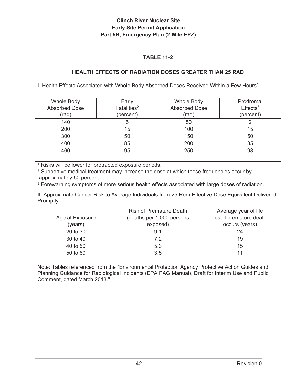# **TABLE 11-2**

## **HEALTH EFFECTS OF RADIATION DOSES GREATER THAN 25 RAD**

I. Health Effects Associated with Whole Body Absorbed Doses Received Within a Few Hours<sup>1</sup>.

| <b>Whole Body</b>    | Early                   | <b>Whole Body</b>    | Prodromal               |
|----------------------|-------------------------|----------------------|-------------------------|
| <b>Absorbed Dose</b> | Fatalities <sup>2</sup> | <b>Absorbed Dose</b> | $E$ ffects <sup>3</sup> |
| (rad)                | (percent)               | (rad)                | (percent)               |
| 140                  | 5                       | 50                   | 2                       |
| 200                  | 15                      | 100                  | 15                      |
| 300                  | 50                      | 150                  | 50                      |
| 400                  | 85                      | 200                  | 85                      |
| 460                  | 95                      | 250                  | 98                      |
|                      |                         |                      |                         |

<sup>1</sup> Risks will be lower for protracted exposure periods.

<sup>2</sup> Supportive medical treatment may increase the dose at which these frequencies occur by approximately 50 percent.

<sup>3</sup> Forewarning symptoms of more serious health effects associated with large doses of radiation.

II. Approximate Cancer Risk to Average Individuals from 25 Rem Effective Dose Equivalent Delivered Promptly.

| Age at Exposure<br>(years) | <b>Risk of Premature Death</b><br>(deaths per 1,000 persons<br>exposed) | Average year of life<br>lost if premature death<br>occurs (years) |
|----------------------------|-------------------------------------------------------------------------|-------------------------------------------------------------------|
| 20 to 30                   | 9.1                                                                     | 24                                                                |
| 30 to 40                   | 7.2                                                                     | 19                                                                |
| 40 to 50                   | 5.3                                                                     | 15                                                                |
| 50 to 60                   | 3.5                                                                     | 11                                                                |

Note: Tables referenced from the "Environmental Protection Agency Protective Action Guides and Planning Guidance for Radiological Incidents (EPA PAG Manual), Draft for Interim Use and Public Comment, dated March 2013."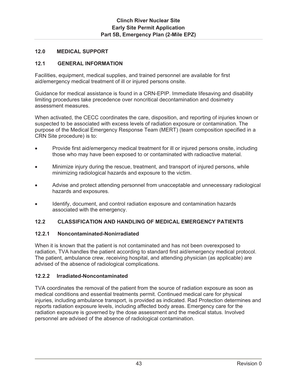## **12.0 MEDICAL SUPPORT**

## **12.1 GENERAL INFORMATION**

Facilities, equipment, medical supplies, and trained personnel are available for first aid/emergency medical treatment of ill or injured persons onsite.

Guidance for medical assistance is found in a CRN-EPIP. Immediate lifesaving and disability limiting procedures take precedence over noncritical decontamination and dosimetry assessment measures.

When activated, the CECC coordinates the care, disposition, and reporting of injuries known or suspected to be associated with excess levels of radiation exposure or contamination. The purpose of the Medical Emergency Response Team (MERT) (team composition specified in a CRN Site procedure) is to:

- Provide first aid/emergency medical treatment for ill or injured persons onsite, including those who may have been exposed to or contaminated with radioactive material.
- Minimize injury during the rescue, treatment, and transport of injured persons, while minimizing radiological hazards and exposure to the victim.
- Advise and protect attending personnel from unacceptable and unnecessary radiological hazards and exposures.
- Identify, document, and control radiation exposure and contamination hazards associated with the emergency.

### **12.2 CLASSIFICATION AND HANDLING OF MEDICAL EMERGENCY PATIENTS**

### **12.2.1 Noncontaminated-Nonirradiated**

When it is known that the patient is not contaminated and has not been overexposed to radiation, TVA handles the patient according to standard first aid/emergency medical protocol. The patient, ambulance crew, receiving hospital, and attending physician (as applicable) are advised of the absence of radiological complications.

### **12.2.2 Irradiated-Noncontaminated**

TVA coordinates the removal of the patient from the source of radiation exposure as soon as medical conditions and essential treatments permit. Continued medical care for physical injuries, including ambulance transport, is provided as indicated. Rad Protection determines and reports radiation exposure levels, including affected body areas. Emergency care for the radiation exposure is governed by the dose assessment and the medical status. Involved personnel are advised of the absence of radiological contamination.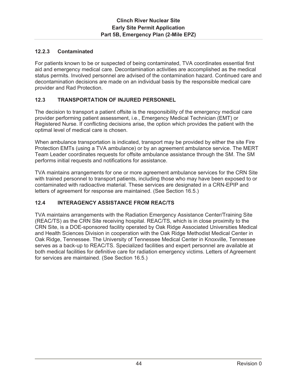## **12.2.3 Contaminated**

For patients known to be or suspected of being contaminated, TVA coordinates essential first aid and emergency medical care. Decontamination activities are accomplished as the medical status permits. Involved personnel are advised of the contamination hazard. Continued care and decontamination decisions are made on an individual basis by the responsible medical care provider and Rad Protection.

## **12.3 TRANSPORTATION OF INJURED PERSONNEL**

The decision to transport a patient offsite is the responsibility of the emergency medical care provider performing patient assessment, i.e., Emergency Medical Technician (EMT) or Registered Nurse. If conflicting decisions arise, the option which provides the patient with the optimal level of medical care is chosen.

When ambulance transportation is indicated, transport may be provided by either the site Fire Protection EMTs (using a TVA ambulance) or by an agreement ambulance service. The MERT Team Leader coordinates requests for offsite ambulance assistance through the SM. The SM performs initial requests and notifications for assistance.

TVA maintains arrangements for one or more agreement ambulance services for the CRN Site with trained personnel to transport patients, including those who may have been exposed to or contaminated with radioactive material. These services are designated in a CRN-EPIP and letters of agreement for response are maintained. (See Section 16.5.)

## **12.4 INTERAGENCY ASSISTANCE FROM REAC/TS**

TVA maintains arrangements with the Radiation Emergency Assistance Center/Training Site (REAC/TS) as the CRN Site receiving hospital. REAC/TS, which is in close proximity to the CRN Site, is a DOE-sponsored facility operated by Oak Ridge Associated Universities Medical and Health Sciences Division in cooperation with the Oak Ridge Methodist Medical Center in Oak Ridge, Tennessee. The University of Tennessee Medical Center in Knoxville, Tennessee serves as a back-up to REAC/TS. Specialized facilities and expert personnel are available at both medical facilities for definitive care for radiation emergency victims. Letters of Agreement for services are maintained. (See Section 16.5.)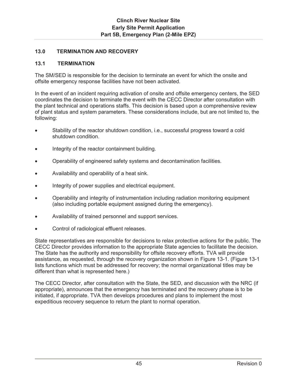## **13.0 TERMINATION AND RECOVERY**

## **13.1 TERMINATION**

The SM/SED is responsible for the decision to terminate an event for which the onsite and offsite emergency response facilities have not been activated.

In the event of an incident requiring activation of onsite and offsite emergency centers, the SED coordinates the decision to terminate the event with the CECC Director after consultation with the plant technical and operations staffs. This decision is based upon a comprehensive review of plant status and system parameters. These considerations include, but are not limited to, the following:

- Stability of the reactor shutdown condition, i.e., successful progress toward a cold shutdown condition.
- Integrity of the reactor containment building.
- Operability of engineered safety systems and decontamination facilities.
- Availability and operability of a heat sink.
- Integrity of power supplies and electrical equipment.
- x Operability and integrity of instrumentation including radiation monitoring equipment (also including portable equipment assigned during the emergency).
- Availability of trained personnel and support services.
- Control of radiological effluent releases.

State representatives are responsible for decisions to relax protective actions for the public. The CECC Director provides information to the appropriate State agencies to facilitate the decision. The State has the authority and responsibility for offsite recovery efforts. TVA will provide assistance, as requested, through the recovery organization shown in Figure 13-1. (Figure 13-1 lists functions which must be addressed for recovery; the normal organizational titles may be different than what is represented here.)

The CECC Director, after consultation with the State, the SED, and discussion with the NRC (if appropriate), announces that the emergency has terminated and the recovery phase is to be initiated, if appropriate. TVA then develops procedures and plans to implement the most expeditious recovery sequence to return the plant to normal operation.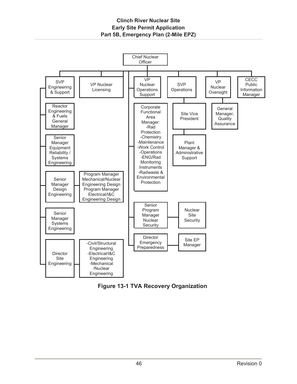

**Figure 13-1 TVA Recovery Organization**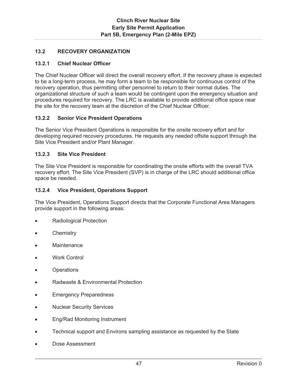## **13.2 RECOVERY ORGANIZATION**

### **13.2.1 Chief Nuclear Officer**

The Chief Nuclear Officer will direct the overall recovery effort. If the recovery phase is expected to be a long-term process, he may form a team to be responsible for continuous control of the recovery operation, thus permitting other personnel to return to their normal duties. The organizational structure of such a team would be contingent upon the emergency situation and procedures required for recovery. The LRC is available to provide additional office space near the site for the recovery team at the discretion of the Chief Nuclear Officer.

### **13.2.2 Senior Vice President Operations**

The Senior Vice President Operations is responsible for the onsite recovery effort and for developing required recovery procedures. He requests any needed offsite support through the Site Vice President and/or Plant Manager.

#### **13.2.3 Site Vice President**

The Site Vice President is responsible for coordinating the onsite efforts with the overall TVA recovery effort. The Site Vice President (SVP) is in charge of the LRC should additional office space be needed.

#### **13.2.4 Vice President, Operations Support**

The Vice President, Operations Support directs that the Corporate Functional Area Managers provide support in the following areas:

- Radiological Protection
- **Chemistry**
- **Maintenance**
- Work Control
- **Operations**
- Radwaste & Environmental Protection
- **Emergency Preparedness**
- **Nuclear Security Services**
- Eng/Rad Monitoring Instrument
- Technical support and Environs sampling assistance as requested by the State
- Dose Assessment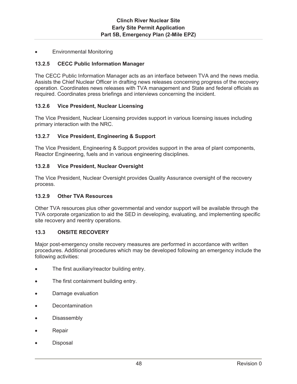**Environmental Monitoring** 

## **13.2.5 CECC Public Information Manager**

The CECC Public Information Manager acts as an interface between TVA and the news media. Assists the Chief Nuclear Officer in drafting news releases concerning progress of the recovery operation. Coordinates news releases with TVA management and State and federal officials as required. Coordinates press briefings and interviews concerning the incident.

## **13.2.6 Vice President, Nuclear Licensing**

The Vice President, Nuclear Licensing provides support in various licensing issues including primary interaction with the NRC.

## **13.2.7 Vice President, Engineering & Support**

The Vice President, Engineering & Support provides support in the area of plant components, Reactor Engineering, fuels and in various engineering disciplines.

### **13.2.8 Vice President, Nuclear Oversight**

The Vice President, Nuclear Oversight provides Quality Assurance oversight of the recovery process.

### **13.2.9 Other TVA Resources**

Other TVA resources plus other governmental and vendor support will be available through the TVA corporate organization to aid the SED in developing, evaluating, and implementing specific site recovery and reentry operations.

### **13.3 ONSITE RECOVERY**

Major post-emergency onsite recovery measures are performed in accordance with written procedures. Additional procedures which may be developed following an emergency include the following activities:

- The first auxiliary/reactor building entry.
- The first containment building entry.
- Damage evaluation
- **Decontamination**
- Disassembly
- Repair
- **Disposal**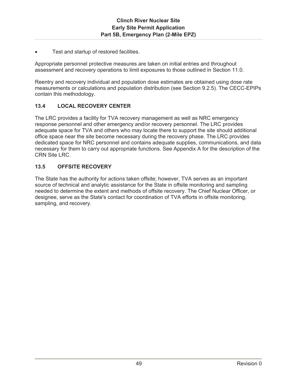Test and startup of restored facilities.

Appropriate personnel protective measures are taken on initial entries and throughout assessment and recovery operations to limit exposures to those outlined in Section 11.0.

Reentry and recovery individual and population dose estimates are obtained using dose rate measurements or calculations and population distribution (see Section 9.2.5). The CECC-EPIPs contain this methodology.

## **13.4 LOCAL RECOVERY CENTER**

The LRC provides a facility for TVA recovery management as well as NRC emergency response personnel and other emergency and/or recovery personnel. The LRC provides adequate space for TVA and others who may locate there to support the site should additional office space near the site become necessary during the recovery phase. The LRC provides dedicated space for NRC personnel and contains adequate supplies, communications, and data necessary for them to carry out appropriate functions. See Appendix A for the description of the CRN Site LRC.

## **13.5 OFFSITE RECOVERY**

The State has the authority for actions taken offsite; however, TVA serves as an important source of technical and analytic assistance for the State in offsite monitoring and sampling needed to determine the extent and methods of offsite recovery. The Chief Nuclear Officer, or designee, serve as the State's contact for coordination of TVA efforts in offsite monitoring, sampling, and recovery.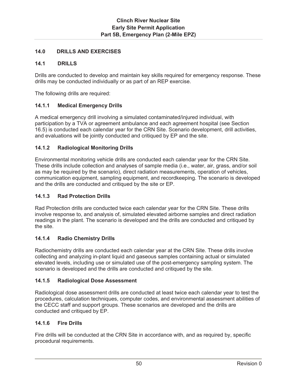## **14.0 DRILLS AND EXERCISES**

## **14.1 DRILLS**

Drills are conducted to develop and maintain key skills required for emergency response. These drills may be conducted individually or as part of an REP exercise.

The following drills are required:

## **14.1.1 Medical Emergency Drills**

A medical emergency drill involving a simulated contaminated/injured individual, with participation by a TVA or agreement ambulance and each agreement hospital (see Section 16.5) is conducted each calendar year for the CRN Site. Scenario development, drill activities, and evaluations will be jointly conducted and critiqued by EP and the site.

## **14.1.2 Radiological Monitoring Drills**

Environmental monitoring vehicle drills are conducted each calendar year for the CRN Site. These drills include collection and analyses of sample media (i.e., water, air, grass, and/or soil as may be required by the scenario), direct radiation measurements, operation of vehicles, communication equipment, sampling equipment, and recordkeeping. The scenario is developed and the drills are conducted and critiqued by the site or EP.

## **14.1.3 Rad Protection Drills**

Rad Protection drills are conducted twice each calendar year for the CRN Site. These drills involve response to, and analysis of, simulated elevated airborne samples and direct radiation readings in the plant. The scenario is developed and the drills are conducted and critiqued by the site.

### **14.1.4 Radio Chemistry Drills**

Radiochemistry drills are conducted each calendar year at the CRN Site. These drills involve collecting and analyzing in-plant liquid and gaseous samples containing actual or simulated elevated levels, including use or simulated use of the post-emergency sampling system. The scenario is developed and the drills are conducted and critiqued by the site.

### **14.1.5 Radiological Dose Assessment**

Radiological dose assessment drills are conducted at least twice each calendar year to test the procedures, calculation techniques, computer codes, and environmental assessment abilities of the CECC staff and support groups. These scenarios are developed and the drills are conducted and critiqued by EP.

### **14.1.6 Fire Drills**

Fire drills will be conducted at the CRN Site in accordance with, and as required by, specific procedural requirements.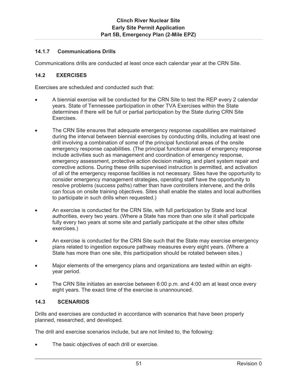## **14.1.7 Communications Drills**

Communications drills are conducted at least once each calendar year at the CRN Site.

## **14.2 EXERCISES**

Exercises are scheduled and conducted such that:

- A biennial exercise will be conducted for the CRN Site to test the REP every 2 calendar years. State of Tennessee participation in other TVA Exercises within the State determines if there will be full or partial participation by the State during CRN Site Exercises.
- The CRN Site ensures that adequate emergency response capabilities are maintained during the interval between biennial exercises by conducting drills, including at least one drill involving a combination of some of the principal functional areas of the onsite emergency response capabilities. (The principal functional areas of emergency response include activities such as management and coordination of emergency response, emergency assessment, protective action decision making, and plant system repair and corrective actions. During these drills supervised instruction is permitted, and activation of all of the emergency response facilities is not necessary. Sites have the opportunity to consider emergency management strategies, operating staff have the opportunity to resolve problems (success paths) rather than have controllers intervene, and the drills can focus on onsite training objectives. Sites shall enable the states and local authorities to participate in such drills when requested.)
- An exercise is conducted for the CRN Site, with full participation by State and local authorities, every two years. (Where a State has more than one site it shall participate fully every two years at some site and partially participate at the other sites offsite exercises.)
- An exercise is conducted for the CRN Site such that the State may exercise emergency plans related to ingestion exposure pathway measures every eight years. (Where a State has more than one site, this participation should be rotated between sites.)
- Major elements of the emergency plans and organizations are tested within an eightyear period.
- The CRN Site initiates an exercise between 6:00 p.m. and 4:00 am at least once every eight years. The exact time of the exercise is unannounced.

## **14.3 SCENARIOS**

Drills and exercises are conducted in accordance with scenarios that have been properly planned, researched, and developed.

The drill and exercise scenarios include, but are not limited to, the following:

The basic objectives of each drill or exercise.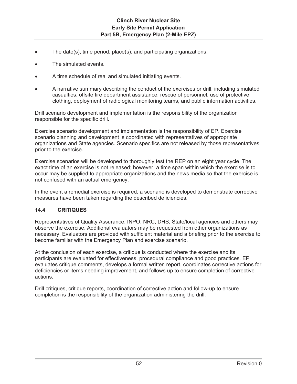- The date(s), time period, place(s), and participating organizations.
- The simulated events.
- A time schedule of real and simulated initiating events.
- x A narrative summary describing the conduct of the exercises or drill, including simulated casualties, offsite fire department assistance, rescue of personnel, use of protective clothing, deployment of radiological monitoring teams, and public information activities.

Drill scenario development and implementation is the responsibility of the organization responsible for the specific drill.

Exercise scenario development and implementation is the responsibility of EP. Exercise scenario planning and development is coordinated with representatives of appropriate organizations and State agencies. Scenario specifics are not released by those representatives prior to the exercise.

Exercise scenarios will be developed to thoroughly test the REP on an eight year cycle. The exact time of an exercise is not released; however, a time span within which the exercise is to occur may be supplied to appropriate organizations and the news media so that the exercise is not confused with an actual emergency.

In the event a remedial exercise is required, a scenario is developed to demonstrate corrective measures have been taken regarding the described deficiencies.

## **14.4 CRITIQUES**

Representatives of Quality Assurance, INPO, NRC, DHS, State/local agencies and others may observe the exercise. Additional evaluators may be requested from other organizations as necessary. Evaluators are provided with sufficient material and a briefing prior to the exercise to become familiar with the Emergency Plan and exercise scenario.

At the conclusion of each exercise, a critique is conducted where the exercise and its participants are evaluated for effectiveness, procedural compliance and good practices. EP evaluates critique comments, develops a formal written report, coordinates corrective actions for deficiencies or items needing improvement, and follows up to ensure completion of corrective actions.

Drill critiques, critique reports, coordination of corrective action and follow-up to ensure completion is the responsibility of the organization administering the drill.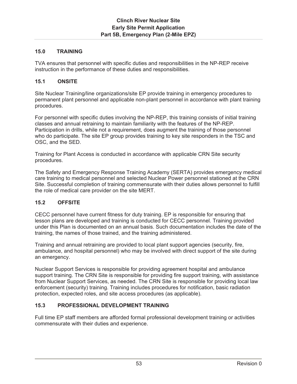## **15.0 TRAINING**

TVA ensures that personnel with specific duties and responsibilities in the NP-REP receive instruction in the performance of these duties and responsibilities.

## **15.1 ONSITE**

Site Nuclear Training/line organizations/site EP provide training in emergency procedures to permanent plant personnel and applicable non-plant personnel in accordance with plant training procedures.

For personnel with specific duties involving the NP-REP, this training consists of initial training classes and annual retraining to maintain familiarity with the features of the NP-REP. Participation in drills, while not a requirement, does augment the training of those personnel who do participate. The site EP group provides training to key site responders in the TSC and OSC, and the SED.

Training for Plant Access is conducted in accordance with applicable CRN Site security procedures.

The Safety and Emergency Response Training Academy (SERTA) provides emergency medical care training to medical personnel and selected Nuclear Power personnel stationed at the CRN Site. Successful completion of training commensurate with their duties allows personnel to fulfill the role of medical care provider on the site MERT.

### **15.2 OFFSITE**

CECC personnel have current fitness for duty training. EP is responsible for ensuring that lesson plans are developed and training is conducted for CECC personnel. Training provided under this Plan is documented on an annual basis. Such documentation includes the date of the training, the names of those trained, and the training administered.

Training and annual retraining are provided to local plant support agencies (security, fire, ambulance, and hospital personnel) who may be involved with direct support of the site during an emergency.

Nuclear Support Services is responsible for providing agreement hospital and ambulance support training. The CRN Site is responsible for providing fire support training, with assistance from Nuclear Support Services, as needed. The CRN Site is responsible for providing local law enforcement (security) training. Training includes procedures for notification, basic radiation protection, expected roles, and site access procedures (as applicable).

### **15.3 PROFESSIONAL DEVELOPMENT TRAINING**

Full time EP staff members are afforded formal professional development training or activities commensurate with their duties and experience.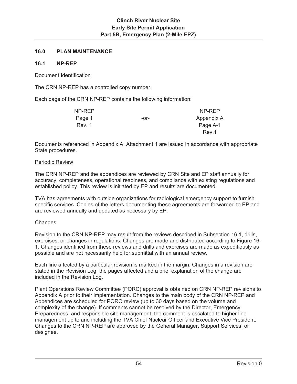## **16.0 PLAN MAINTENANCE**

#### **16.1 NP-REP**

#### Document Identification

The CRN NP-REP has a controlled copy number.

Each page of the CRN NP-REP contains the following information:

| NP-REP |        | NP-REP     |
|--------|--------|------------|
| Page 1 | $-0r-$ | Appendix A |
| Rev. 1 |        | Page A-1   |
|        |        | Rev.1      |

Documents referenced in Appendix A, Attachment 1 are issued in accordance with appropriate State procedures.

#### Periodic Review

The CRN NP-REP and the appendices are reviewed by CRN Site and EP staff annually for accuracy, completeness, operational readiness, and compliance with existing regulations and established policy. This review is initiated by EP and results are documented.

TVA has agreements with outside organizations for radiological emergency support to furnish specific services. Copies of the letters documenting these agreements are forwarded to EP and are reviewed annually and updated as necessary by EP.

### **Changes**

Revision to the CRN NP-REP may result from the reviews described in Subsection 16.1, drills, exercises, or changes in regulations. Changes are made and distributed according to Figure 16- 1. Changes identified from these reviews and drills and exercises are made as expeditiously as possible and are not necessarily held for submittal with an annual review.

Each line affected by a particular revision is marked in the margin. Changes in a revision are stated in the Revision Log; the pages affected and a brief explanation of the change are included in the Revision Log.

Plant Operations Review Committee (PORC) approval is obtained on CRN NP-REP revisions to Appendix A prior to their implementation. Changes to the main body of the CRN NP-REP and Appendices are scheduled for PORC review (up to 30 days based on the volume and complexity of the change). If comments cannot be resolved by the Director, Emergency Preparedness, and responsible site management, the comment is escalated to higher line management up to and including the TVA Chief Nuclear Officer and Executive Vice President. Changes to the CRN NP-REP are approved by the General Manager, Support Services, or designee.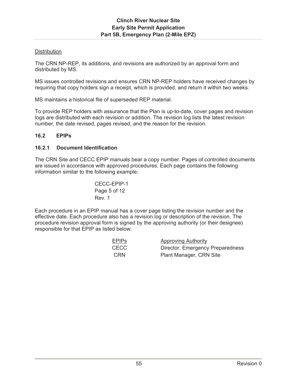## **Distribution**

The CRN NP-REP, its additions, and revisions are authorized by an approval form and distributed by MS.

MS issues controlled revisions and ensures CRN NP-REP holders have received changes by requiring that copy holders sign a receipt, which is provided, and return it within two weeks.

MS maintains a historical file of superseded REP material.

To provide REP holders with assurance that the Plan is up-to-date, cover pages and revision logs are distributed with each revision or addition. The revision log lists the latest revision number, the date revised, pages revised, and the reason for the revision.

### **16.2 EPIPs**

## **16.2.1 Document Identification**

The CRN Site and CECC EPIP manuals bear a copy number. Pages of controlled documents are issued in accordance with approved procedures. Each page contains the following information similar to the following example:

CECC-EPIP-1 Page 5 of 12 Rev. 1

Each procedure in an EPIP manual has a cover page listing the revision number and the effective date. Each procedure also has a revision log or description of the revision. The procedure revision approval form is signed by the approving authority (or their designee) responsible for that EPIP as listed below:

| <u>EPIPs</u> | <b>Approving Authority</b>       |
|--------------|----------------------------------|
| CECC         | Director, Emergency Preparedness |
| <b>CRN</b>   | Plant Manager, CRN Site          |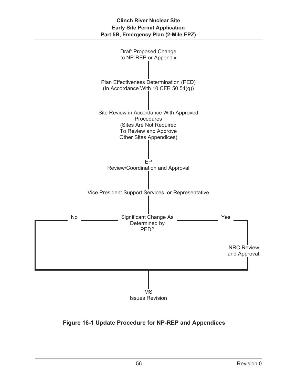

**Figure 16-1 Update Procedure for NP-REP and Appendices**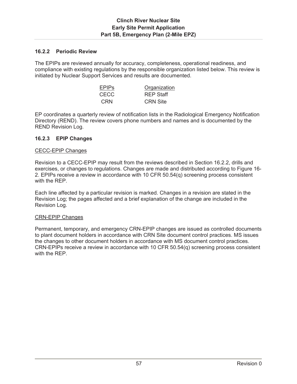## **16.2.2 Periodic Review**

The EPIPs are reviewed annually for accuracy, completeness, operational readiness, and compliance with existing regulations by the responsible organization listed below. This review is initiated by Nuclear Support Services and results are documented.

| <b>EPIPS</b> | Organization     |
|--------------|------------------|
| CECC.        | <b>REP Staff</b> |
| CRN          | <b>CRN Site</b>  |

EP coordinates a quarterly review of notification lists in the Radiological Emergency Notification Directory (REND). The review covers phone numbers and names and is documented by the REND Revision Log.

## **16.2.3 EPIP Changes**

#### CECC-EPIP Changes

Revision to a CECC-EPIP may result from the reviews described in Section 16.2.2, drills and exercises, or changes to regulations. Changes are made and distributed according to Figure 16- 2. EPIPs receive a review in accordance with 10 CFR 50.54(q) screening process consistent with the REP.

Each line affected by a particular revision is marked. Changes in a revision are stated in the Revision Log; the pages affected and a brief explanation of the change are included in the Revision Log.

#### CRN-EPIP Changes

Permanent, temporary, and emergency CRN-EPIP changes are issued as controlled documents to plant document holders in accordance with CRN Site document control practices. MS issues the changes to other document holders in accordance with MS document control practices. CRN-EPIPs receive a review in accordance with 10 CFR 50.54(q) screening process consistent with the REP.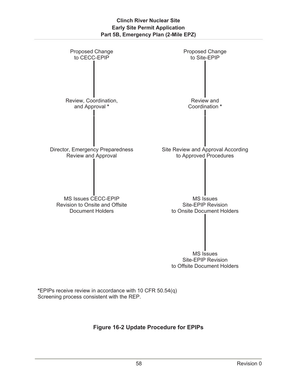

**\***EPIPs receive review in accordance with 10 CFR 50.54(q) Screening process consistent with the REP.

# **Figure 16-2 Update Procedure for EPIPs**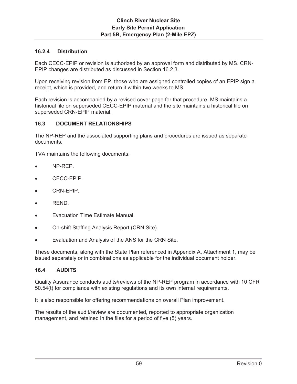## **16.2.4 Distribution**

Each CECC-EPIP or revision is authorized by an approval form and distributed by MS. CRN-EPIP changes are distributed as discussed in Section 16.2.3.

Upon receiving revision from EP, those who are assigned controlled copies of an EPIP sign a receipt, which is provided, and return it within two weeks to MS.

Each revision is accompanied by a revised cover page for that procedure. MS maintains a historical file on superseded CECC-EPIP material and the site maintains a historical file on superseded CRN-EPIP material.

## **16.3 DOCUMENT RELATIONSHIPS**

The NP-REP and the associated supporting plans and procedures are issued as separate documents.

TVA maintains the following documents:

- NP-REP.
- CECC-EPIP.
- CRN-EPIP.
- REND.
- Evacuation Time Estimate Manual.
- On-shift Staffing Analysis Report (CRN Site).
- Evaluation and Analysis of the ANS for the CRN Site.

These documents, along with the State Plan referenced in Appendix A, Attachment 1, may be issued separately or in combinations as applicable for the individual document holder.

#### **16.4 AUDITS**

Quality Assurance conducts audits/reviews of the NP-REP program in accordance with 10 CFR 50.54(t) for compliance with existing regulations and its own internal requirements.

It is also responsible for offering recommendations on overall Plan improvement.

The results of the audit/review are documented, reported to appropriate organization management, and retained in the files for a period of five (5) years.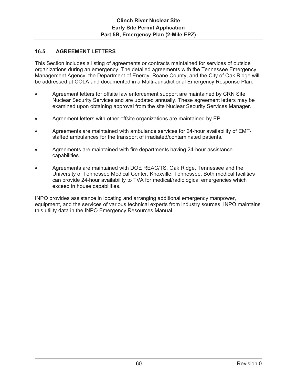## **16.5 AGREEMENT LETTERS**

This Section includes a listing of agreements or contracts maintained for services of outside organizations during an emergency. The detailed agreements with the Tennessee Emergency Management Agency, the Department of Energy, Roane County, and the City of Oak Ridge will be addressed at COLA and documented in a Multi-Jurisdictional Emergency Response Plan.

- Agreement letters for offsite law enforcement support are maintained by CRN Site Nuclear Security Services and are updated annually. These agreement letters may be examined upon obtaining approval from the site Nuclear Security Services Manager.
- Agreement letters with other offsite organizations are maintained by EP.
- Agreements are maintained with ambulance services for 24-hour availability of EMTstaffed ambulances for the transport of irradiated/contaminated patients.
- Agreements are maintained with fire departments having 24-hour assistance capabilities.
- Agreements are maintained with DOE REAC/TS, Oak Ridge, Tennessee and the University of Tennessee Medical Center, Knoxville, Tennessee. Both medical facilities can provide 24-hour availability to TVA for medical/radiological emergencies which exceed in house capabilities.

INPO provides assistance in locating and arranging additional emergency manpower, equipment, and the services of various technical experts from industry sources. INPO maintains this utility data in the INPO Emergency Resources Manual.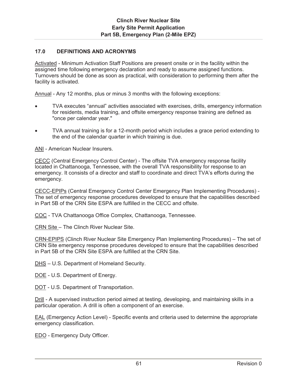## **17.0 DEFINITIONS AND ACRONYMS**

Activated - Minimum Activation Staff Positions are present onsite or in the facility within the assigned time following emergency declaration and ready to assume assigned functions. Turnovers should be done as soon as practical, with consideration to performing them after the facility is activated.

Annual - Any 12 months, plus or minus 3 months with the following exceptions:

- x TVA executes "annual" activities associated with exercises, drills, emergency information for residents, media training, and offsite emergency response training are defined as "once per calendar year."
- TVA annual training is for a 12-month period which includes a grace period extending to the end of the calendar quarter in which training is due.

ANI - American Nuclear Insurers.

CECC (Central Emergency Control Center) - The offsite TVA emergency response facility located in Chattanooga, Tennessee, with the overall TVA responsibility for response to an emergency. It consists of a director and staff to coordinate and direct TVA's efforts during the emergency.

CECC-EPIPs (Central Emergency Control Center Emergency Plan Implementing Procedures) - The set of emergency response procedures developed to ensure that the capabilities described in Part 5B of the CRN Site ESPA are fulfilled in the CECC and offsite.

COC - TVA Chattanooga Office Complex, Chattanooga, Tennessee.

CRN Site – The Clinch River Nuclear Site.

CRN-EPIPS (Clinch River Nuclear Site Emergency Plan Implementing Procedures) – The set of CRN Site emergency response procedures developed to ensure that the capabilities described in Part 5B of the CRN Site ESPA are fulfilled at the CRN Site.

DHS – U.S. Department of Homeland Security.

DOE - U.S. Department of Energy.

DOT - U.S. Department of Transportation.

Drill - A supervised instruction period aimed at testing, developing, and maintaining skills in a particular operation. A drill is often a component of an exercise.

EAL (Emergency Action Level) - Specific events and criteria used to determine the appropriate emergency classification.

EDO - Emergency Duty Officer.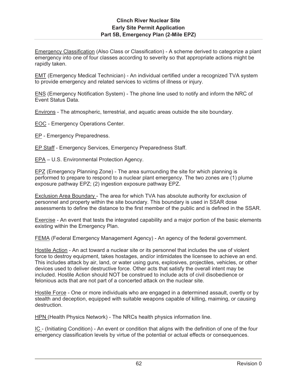Emergency Classification (Also Class or Classification) - A scheme derived to categorize a plant emergency into one of four classes according to severity so that appropriate actions might be rapidly taken.

EMT (Emergency Medical Technician) - An individual certified under a recognized TVA system to provide emergency and related services to victims of illness or injury.

ENS (Emergency Notification System) - The phone line used to notify and inform the NRC of Event Status Data.

Environs - The atmospheric, terrestrial, and aquatic areas outside the site boundary.

EOC - Emergency Operations Center.

EP - Emergency Preparedness.

EP Staff - Emergency Services, Emergency Preparedness Staff.

EPA – U.S. Environmental Protection Agency.

EPZ (Emergency Planning Zone) - The area surrounding the site for which planning is performed to prepare to respond to a nuclear plant emergency. The two zones are (1) plume exposure pathway EPZ; (2) ingestion exposure pathway EPZ.

Exclusion Area Boundary - The area for which TVA has absolute authority for exclusion of personnel and property within the site boundary. This boundary is used in SSAR dose assessments to define the distance to the first member of the public and is defined in the SSAR.

Exercise - An event that tests the integrated capability and a major portion of the basic elements existing within the Emergency Plan.

FEMA (Federal Emergency Management Agency) - An agency of the federal government.

Hostile Action - An act toward a nuclear site or its personnel that includes the use of violent force to destroy equipment, takes hostages, and/or intimidates the licensee to achieve an end. This includes attack by air, land, or water using guns, explosives, projectiles, vehicles, or other devices used to deliver destructive force. Other acts that satisfy the overall intent may be included. Hostile Action should NOT be construed to include acts of civil disobedience or felonious acts that are not part of a concerted attack on the nuclear site.

Hostile Force - One or more individuals who are engaged in a determined assault, overtly or by stealth and deception, equipped with suitable weapons capable of killing, maiming, or causing destruction.

HPN (Health Physics Network) - The NRCs health physics information line.

IC - (Initiating Condition) - An event or condition that aligns with the definition of one of the four emergency classification levels by virtue of the potential or actual effects or consequences.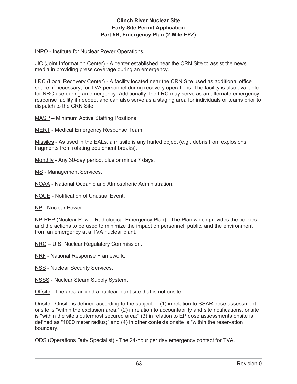INPO - Institute for Nuclear Power Operations.

JIC (Joint Information Center) - A center established near the CRN Site to assist the news media in providing press coverage during an emergency.

LRC (Local Recovery Center) - A facility located near the CRN Site used as additional office space, if necessary, for TVA personnel during recovery operations. The facility is also available for NRC use during an emergency. Additionally, the LRC may serve as an alternate emergency response facility if needed, and can also serve as a staging area for individuals or teams prior to dispatch to the CRN Site.

MASP – Minimum Active Staffing Positions.

MERT - Medical Emergency Response Team.

Missiles - As used in the EALs, a missile is any hurled object (e.g., debris from explosions, fragments from rotating equipment breaks).

Monthly - Any 30-day period, plus or minus 7 days.

MS - Management Services.

NOAA - National Oceanic and Atmospheric Administration.

NOUE - Notification of Unusual Event.

NP - Nuclear Power.

NP-REP (Nuclear Power Radiological Emergency Plan) - The Plan which provides the policies and the actions to be used to minimize the impact on personnel, public, and the environment from an emergency at a TVA nuclear plant.

NRC – U.S. Nuclear Regulatory Commission.

NRF - National Response Framework.

NSS - Nuclear Security Services.

NSSS - Nuclear Steam Supply System.

Offsite - The area around a nuclear plant site that is not onsite.

Onsite - Onsite is defined according to the subject ... (1) in relation to SSAR dose assessment, onsite is "within the exclusion area;" (2) in relation to accountability and site notifications, onsite is "within the site's outermost secured area;" (3) in relation to EP dose assessments onsite is defined as "1000 meter radius;" and (4) in other contexts onsite is "within the reservation boundary."

ODS (Operations Duty Specialist) - The 24-hour per day emergency contact for TVA.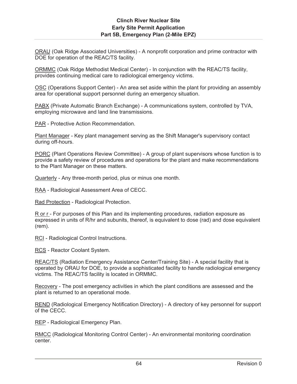ORAU (Oak Ridge Associated Universities) - A nonprofit corporation and prime contractor with DOE for operation of the REAC/TS facility.

ORMMC (Oak Ridge Methodist Medical Center) - In conjunction with the REAC/TS facility, provides continuing medical care to radiological emergency victims.

OSC (Operations Support Center) - An area set aside within the plant for providing an assembly area for operational support personnel during an emergency situation.

PABX (Private Automatic Branch Exchange) - A communications system, controlled by TVA, employing microwave and land line transmissions.

PAR - Protective Action Recommendation.

Plant Manager - Key plant management serving as the Shift Manager's supervisory contact during off-hours.

PORC (Plant Operations Review Committee) - A group of plant supervisors whose function is to provide a safety review of procedures and operations for the plant and make recommendations to the Plant Manager on these matters.

Quarterly - Any three-month period, plus or minus one month.

RAA - Radiological Assessment Area of CECC.

Rad Protection - Radiological Protection.

R or r - For purposes of this Plan and its implementing procedures, radiation exposure as expressed in units of R/hr and subunits, thereof, is equivalent to dose (rad) and dose equivalent (rem).

RCI - Radiological Control Instructions.

RCS - Reactor Coolant System.

REAC/TS (Radiation Emergency Assistance Center/Training Site) - A special facility that is operated by ORAU for DOE, to provide a sophisticated facility to handle radiological emergency victims. The REAC/TS facility is located in ORMMC.

Recovery - The post emergency activities in which the plant conditions are assessed and the plant is returned to an operational mode.

REND (Radiological Emergency Notification Directory) - A directory of key personnel for support of the CECC.

REP - Radiological Emergency Plan.

RMCC (Radiological Monitoring Control Center) - An environmental monitoring coordination center.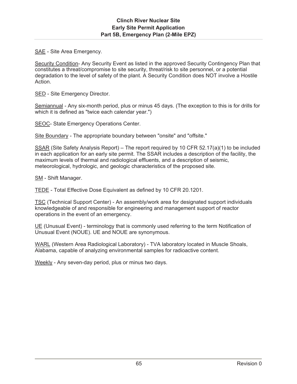SAE - Site Area Emergency.

Security Condition- Any Security Event as listed in the approved Security Contingency Plan that constitutes a threat/compromise to site security, threat/risk to site personnel, or a potential degradation to the level of safety of the plant. A Security Condition does NOT involve a Hostile Action.

SED - Site Emergency Director.

Semiannual - Any six-month period, plus or minus 45 days. (The exception to this is for drills for which it is defined as "twice each calendar year.")

SEOC- State Emergency Operations Center.

Site Boundary - The appropriate boundary between "onsite" and "offsite."

SSAR (Site Safety Analysis Report) – The report required by 10 CFR 52.17(a)(1) to be included in each application for an early site permit. The SSAR includes a description of the facility, the maximum levels of thermal and radiological effluents, and a description of seismic, meteorological, hydrologic, and geologic characteristics of the proposed site.

SM - Shift Manager.

TEDE - Total Effective Dose Equivalent as defined by 10 CFR 20.1201.

TSC (Technical Support Center) - An assembly/work area for designated support individuals knowledgeable of and responsible for engineering and management support of reactor operations in the event of an emergency.

UE (Unusual Event) - terminology that is commonly used referring to the term Notification of Unusual Event (NOUE). UE and NOUE are synonymous.

WARL (Western Area Radiological Laboratory) - TVA laboratory located in Muscle Shoals, Alabama, capable of analyzing environmental samples for radioactive content.

Weekly - Any seven-day period, plus or minus two days.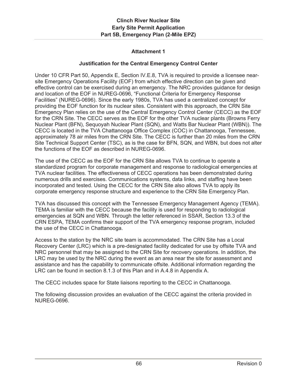## **Attachment 1**

## **Justification for the Central Emergency Control Center**

Under 10 CFR Part 50, Appendix E, Section IV.E.8, TVA is required to provide a licensee nearsite Emergency Operations Facility (EOF) from which effective direction can be given and effective control can be exercised during an emergency. The NRC provides guidance for design and location of the EOF in NUREG-0696, "Functional Criteria for Emergency Response Facilities" (NUREG-0696). Since the early 1980s, TVA has used a centralized concept for providing the EOF function for its nuclear sites. Consistent with this approach, the CRN Site Emergency Plan relies on the use of the Central Emergency Control Center (CECC) as the EOF for the CRN Site. The CECC serves as the EOF for the other TVA nuclear plants (Browns Ferry Nuclear Plant (BFN), Sequoyah Nuclear Plant (SQN), and Watts Bar Nuclear Plant (WBN)). The CECC is located in the TVA Chattanooga Office Complex (COC) in Chattanooga, Tennessee, approximately 78 air miles from the CRN Site. The CECC is further than 20 miles from the CRN Site Technical Support Center (TSC), as is the case for BFN, SQN, and WBN, but does not alter the functions of the EOF as described in NUREG-0696.

The use of the CECC as the EOF for the CRN Site allows TVA to continue to operate a standardized program for corporate management and response to radiological emergencies at TVA nuclear facilities. The effectiveness of CECC operations has been demonstrated during numerous drills and exercises. Communications systems, data links, and staffing have been incorporated and tested. Using the CECC for the CRN Site also allows TVA to apply its corporate emergency response structure and experience to the CRN Site Emergency Plan.

TVA has discussed this concept with the Tennessee Emergency Management Agency (TEMA). TEMA is familiar with the CECC because the facility is used for responding to radiological emergencies at SQN and WBN. Through the letter referenced in SSAR, Section 13.3 of the CRN ESPA, TEMA confirms their support of the TVA emergency response program, included the use of the CECC in Chattanooga.

Access to the station by the NRC site team is accommodated. The CRN Site has a Local Recovery Center (LRC) which is a pre-designated facility dedicated for use by offsite TVA and NRC personnel that may be assigned to the CRN Site for recovery operations. In addition, the LRC may be used by the NRC during the event as an area near the site for assessment and assistance and has the capability to communicate offsite. Additional information regarding the LRC can be found in section 8.1.3 of this Plan and in A.4.8 in Appendix A.

The CECC includes space for State liaisons reporting to the CECC in Chattanooga.

The following discussion provides an evaluation of the CECC against the criteria provided in NUREG-0696.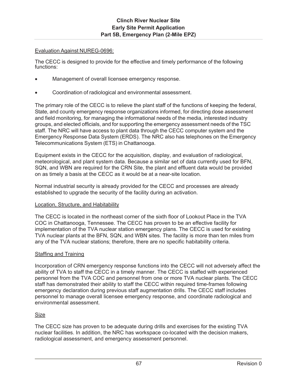## Evaluation Against NUREG-0696:

The CECC is designed to provide for the effective and timely performance of the following functions:

- Management of overall licensee emergency response.
- Coordination of radiological and environmental assessment.

The primary role of the CECC is to relieve the plant staff of the functions of keeping the federal, State, and county emergency response organizations informed, for directing dose assessment and field monitoring, for managing the informational needs of the media, interested industry groups, and elected officials, and for supporting the emergency assessment needs of the TSC staff. The NRC will have access to plant data through the CECC computer system and the Emergency Response Data System (ERDS). The NRC also has telephones on the Emergency Telecommunications System (ETS) in Chattanooga.

Equipment exists in the CECC for the acquisition, display, and evaluation of radiological, meteorological, and plant system data. Because a similar set of data currently used for BFN, SQN, and WBN are required for the CRN Site, the plant and effluent data would be provided on as timely a basis at the CECC as it would be at a near-site location.

Normal industrial security is already provided for the CECC and processes are already established to upgrade the security of the facility during an activation.

## Location, Structure, and Habitability

The CECC is located in the northeast corner of the sixth floor of Lookout Place in the TVA COC in Chattanooga, Tennessee. The CECC has proven to be an effective facility for implementation of the TVA nuclear station emergency plans. The CECC is used for existing TVA nuclear plants at the BFN, SQN, and WBN sites. The facility is more than ten miles from any of the TVA nuclear stations; therefore, there are no specific habitability criteria.

## Staffing and Training

Incorporation of CRN emergency response functions into the CECC will not adversely affect the ability of TVA to staff the CECC in a timely manner. The CECC is staffed with experienced personnel from the TVA COC and personnel from one or more TVA nuclear plants. The CECC staff has demonstrated their ability to staff the CECC within required time-frames following emergency declaration during previous staff augmentation drills. The CECC staff includes personnel to manage overall licensee emergency response, and coordinate radiological and environmental assessment.

## Size

The CECC size has proven to be adequate during drills and exercises for the existing TVA nuclear facilities. In addition, the NRC has workspace co-located with the decision makers, radiological assessment, and emergency assessment personnel.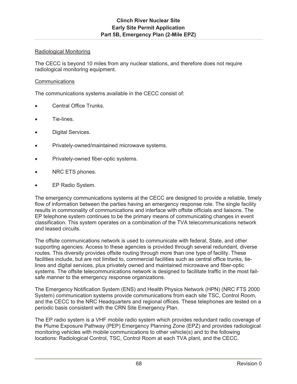## Radiological Monitoring

The CECC is beyond 10 miles from any nuclear stations, and therefore does not require radiological monitoring equipment.

#### **Communications**

The communications systems available in the CECC consist of:

- Central Office Trunks.
- x Tie-lines.
- Digital Services.
- Privately-owned/maintained microwave systems.
- Privately-owned fiber-optic systems.
- NRC ETS phones.
- EP Radio System.

The emergency communications systems at the CECC are designed to provide a reliable, timely flow of information between the parties having an emergency response role. The single facility results in commonality of communications and interface with offsite officials and liaisons. The EP telephone system continues to be the primary means of communicating changes in event classification. This system operates on a combination of the TVA telecommunications network and leased circuits.

The offsite communications network is used to communicate with federal, State, and other supporting agencies. Access to these agencies is provided through several redundant, diverse routes. This diversity provides offsite routing through more than one type of facility. These facilities include, but are not limited to, commercial facilities such as central office trunks, tielines and digital services, plus privately owned and maintained microwave and fiber-optic systems. The offsite telecommunications network is designed to facilitate traffic in the most failsafe manner to the emergency response organizations.

The Emergency Notification System (ENS) and Health Physics Network (HPN) (NRC FTS 2000 System) communication systems provide communications from each site TSC, Control Room, and the CECC to the NRC Headquarters and regional offices. These telephones are tested on a periodic basis consistent with the CRN Site Emergency Plan.

The EP radio system is a VHF mobile radio system which provides redundant radio coverage of the Plume Exposure Pathway (PEP) Emergency Planning Zone (EPZ) and provides radiological monitoring vehicles with mobile communications to other vehicle(s) and to the following locations: Radiological Control, TSC, Control Room at each TVA plant, and the CECC.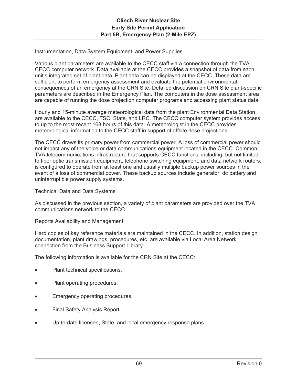## Instrumentation, Data System Equipment, and Power Supplies

Various plant parameters are available to the CECC staff via a connection through the TVA CECC computer network. Data available at the CECC provides a snapshot of data from each unit's integrated set of plant data. Plant data can be displayed at the CECC. These data are sufficient to perform emergency assessment and evaluate the potential environmental consequences of an emergency at the CRN Site. Detailed discussion on CRN Site plant-specific parameters are described in the Emergency Plan. The computers in the dose assessment area are capable of running the dose projection computer programs and accessing plant status data.

Hourly and 15-minute average meteorological data from the plant Environmental Data Station are available to the CECC, TSC, State, and LRC. The CECC computer system provides access to up to the most recent 168 hours of this data. A meteorologist in the CECC provides meteorological information to the CECC staff in support of offsite dose projections.

The CECC draws its primary power from commercial power. A loss of commercial power should not impact any of the voice or data communications equipment located in the CECC. Common TVA telecommunications infrastructure that supports CECC functions, including, but not limited to fiber optic transmission equipment, telephone switching equipment, and data network routers, is configured to operate from at least one and usually multiple backup power sources in the event of a loss of commercial power. These backup sources include generator, dc battery and uninterruptible power supply systems.

#### Technical Data and Data Systems

As discussed in the previous section, a variety of plant parameters are provided over the TVA communications network to the CECC.

## Reports Availability and Management

Hard copies of key reference materials are maintained in the CECC. In addition, station design documentation, plant drawings, procedures, etc. are available via Local Area Network connection from the Business Support Library.

The following information is available for the CRN Site at the CECC:

- Plant technical specifications.
- Plant operating procedures.
- Emergency operating procedures.
- Final Safety Analysis Report.
- Up-to-date licensee, State, and local emergency response plans.